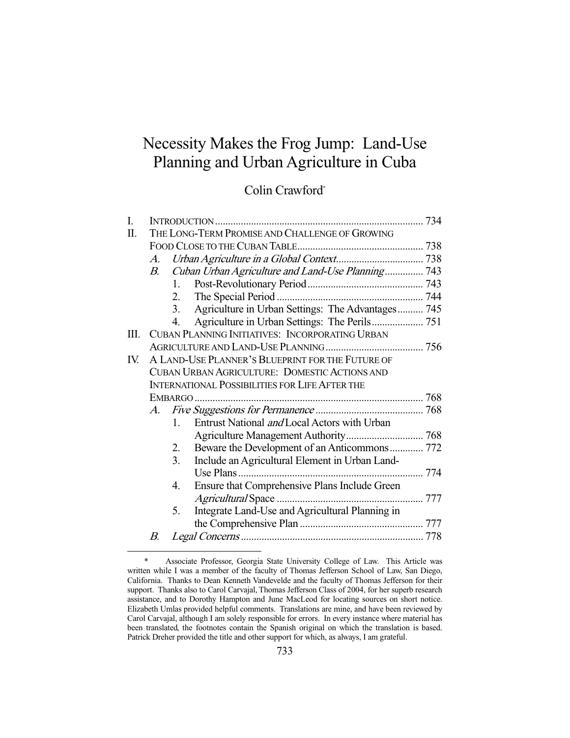# Necessity Makes the Frog Jump: Land-Use Planning and Urban Agriculture in Cuba

# Colin Crawford\*

| I.  |                                                       |                  |                                                   |  |  |
|-----|-------------------------------------------------------|------------------|---------------------------------------------------|--|--|
| Π.  | THE LONG-TERM PROMISE AND CHALLENGE OF GROWING        |                  |                                                   |  |  |
|     |                                                       |                  |                                                   |  |  |
|     | A.                                                    |                  |                                                   |  |  |
|     | $B_{\cdot}$                                           |                  | Cuban Urban Agriculture and Land-Use Planning 743 |  |  |
|     |                                                       | 1.               |                                                   |  |  |
|     |                                                       | 2.               |                                                   |  |  |
|     |                                                       | $\overline{3}$ . | Agriculture in Urban Settings: The Advantages 745 |  |  |
|     |                                                       | 4.               |                                                   |  |  |
| Ш.  | CUBAN PLANNING INITIATIVES: INCORPORATING URBAN       |                  |                                                   |  |  |
|     |                                                       |                  |                                                   |  |  |
| IV. | A LAND-USE PLANNER'S BLUEPRINT FOR THE FUTURE OF      |                  |                                                   |  |  |
|     | <b>CUBAN URBAN AGRICULTURE: DOMESTIC ACTIONS AND</b>  |                  |                                                   |  |  |
|     | <b>INTERNATIONAL POSSIBILITIES FOR LIFE AFTER THE</b> |                  |                                                   |  |  |
|     |                                                       |                  |                                                   |  |  |
|     | $A_{\cdot}$                                           |                  |                                                   |  |  |
|     |                                                       | $1_{-}$          | Entrust National and Local Actors with Urban      |  |  |
|     |                                                       |                  |                                                   |  |  |
|     |                                                       | 2.               | Beware the Development of an Anticommons 772      |  |  |
|     |                                                       | 3 <sub>1</sub>   | Include an Agricultural Element in Urban Land-    |  |  |
|     |                                                       |                  |                                                   |  |  |
|     |                                                       | 4.               | Ensure that Comprehensive Plans Include Green     |  |  |
|     |                                                       |                  |                                                   |  |  |
|     |                                                       | 5.               | Integrate Land-Use and Agricultural Planning in   |  |  |
|     |                                                       |                  |                                                   |  |  |
|     | В.                                                    |                  |                                                   |  |  |
|     |                                                       |                  |                                                   |  |  |

 <sup>\*</sup> Associate Professor, Georgia State University College of Law. This Article was written while I was a member of the faculty of Thomas Jefferson School of Law, San Diego, California. Thanks to Dean Kenneth Vandevelde and the faculty of Thomas Jefferson for their support. Thanks also to Carol Carvajal, Thomas Jefferson Class of 2004, for her superb research assistance, and to Dorothy Hampton and June MacLeod for locating sources on short notice. Elizabeth Umlas provided helpful comments. Translations are mine, and have been reviewed by Carol Carvajal, although I am solely responsible for errors. In every instance where material has been translated, the footnotes contain the Spanish original on which the translation is based. Patrick Dreher provided the title and other support for which, as always, I am grateful.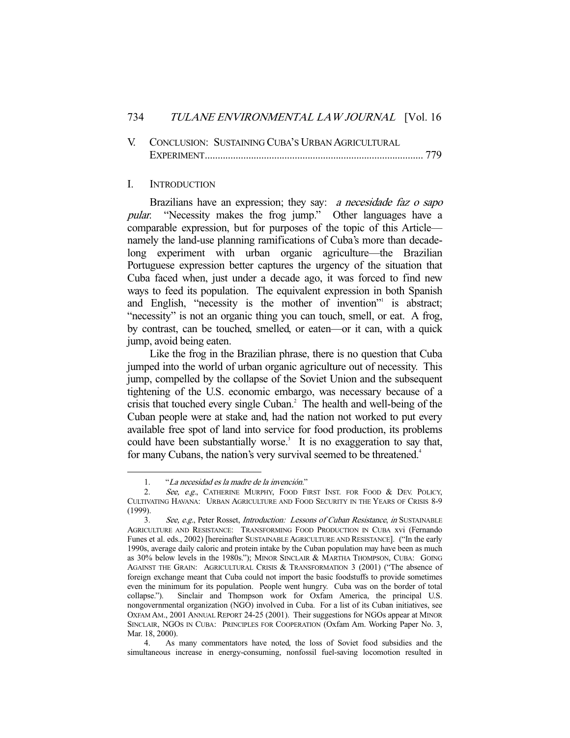|  | V. CONCLUSION: SUSTAINING CUBA'S URBAN AGRICULTURAL |  |
|--|-----------------------------------------------------|--|
|  |                                                     |  |

#### I. INTRODUCTION

Brazilians have an expression; they say: a necesidade faz o sapo pular. "Necessity makes the frog jump." Other languages have a comparable expression, but for purposes of the topic of this Article namely the land-use planning ramifications of Cuba's more than decadelong experiment with urban organic agriculture—the Brazilian Portuguese expression better captures the urgency of the situation that Cuba faced when, just under a decade ago, it was forced to find new ways to feed its population. The equivalent expression in both Spanish and English, "necessity is the mother of invention" is abstract; "necessity" is not an organic thing you can touch, smell, or eat. A frog, by contrast, can be touched, smelled, or eaten—or it can, with a quick jump, avoid being eaten.

 Like the frog in the Brazilian phrase, there is no question that Cuba jumped into the world of urban organic agriculture out of necessity. This jump, compelled by the collapse of the Soviet Union and the subsequent tightening of the U.S. economic embargo, was necessary because of a crisis that touched every single Cuban.<sup>2</sup> The health and well-being of the Cuban people were at stake and, had the nation not worked to put every available free spot of land into service for food production, its problems could have been substantially worse.<sup>3</sup> It is no exaggeration to say that, for many Cubans, the nation's very survival seemed to be threatened.<sup>4</sup>

 <sup>1. &</sup>quot;La necesidad es la madre de la invención."

<sup>2.</sup> See, e.g., CATHERINE MURPHY, FOOD FIRST INST. FOR FOOD & DEV. POLICY, CULTIVATING HAVANA: URBAN AGRICULTURE AND FOOD SECURITY IN THE YEARS OF CRISIS 8-9 (1999).

<sup>3.</sup> See, e.g., Peter Rosset, *Introduction: Lessons of Cuban Resistance*, *in* SUSTAINABLE AGRICULTURE AND RESISTANCE: TRANSFORMING FOOD PRODUCTION IN CUBA xvi (Fernando Funes et al. eds., 2002) [hereinafter SUSTAINABLE AGRICULTURE AND RESISTANCE]. ("In the early 1990s, average daily caloric and protein intake by the Cuban population may have been as much as 30% below levels in the 1980s."); MINOR SINCLAIR & MARTHA THOMPSON, CUBA: GOING AGAINST THE GRAIN: AGRICULTURAL CRISIS & TRANSFORMATION 3 (2001) ("The absence of foreign exchange meant that Cuba could not import the basic foodstuffs to provide sometimes even the minimum for its population. People went hungry. Cuba was on the border of total collapse."). Sinclair and Thompson work for Oxfam America, the principal U.S. nongovernmental organization (NGO) involved in Cuba. For a list of its Cuban initiatives, see OXFAM AM., 2001 ANNUAL REPORT 24-25 (2001). Their suggestions for NGOs appear at MINOR SINCLAIR, NGOS IN CUBA: PRINCIPLES FOR COOPERATION (Oxfam Am. Working Paper No. 3, Mar. 18, 2000).

 <sup>4.</sup> As many commentators have noted, the loss of Soviet food subsidies and the simultaneous increase in energy-consuming, nonfossil fuel-saving locomotion resulted in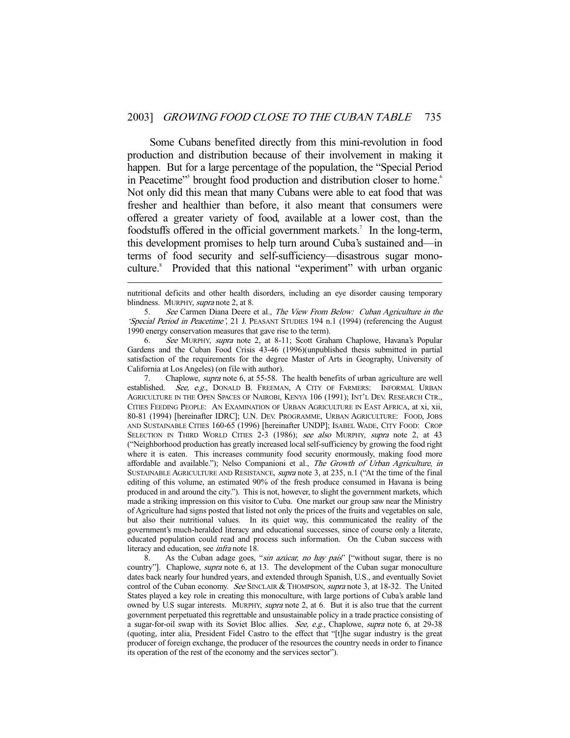Some Cubans benefited directly from this mini-revolution in food production and distribution because of their involvement in making it happen. But for a large percentage of the population, the "Special Period in Peacetime"<sup>5</sup> brought food production and distribution closer to home.<sup>6</sup> Not only did this mean that many Cubans were able to eat food that was fresher and healthier than before, it also meant that consumers were offered a greater variety of food, available at a lower cost, than the foodstuffs offered in the official government markets.<sup>7</sup> In the long-term, this development promises to help turn around Cuba's sustained and—in terms of food security and self-sufficiency—disastrous sugar monoculture.<sup>8</sup> Provided that this national "experiment" with urban organic

-

5. See Carmen Diana Deere et al., The View From Below: Cuban Agriculture in the 'Special Period in Peacetime', 21 J. PEASANT STUDIES 194 n.1 (1994) (referencing the August 1990 energy conservation measures that gave rise to the term).

 6. See MURPHY, supra note 2, at 8-11; Scott Graham Chaplowe, Havana's Popular Gardens and the Cuban Food Crisis 43-46 (1996)(unpublished thesis submitted in partial satisfaction of the requirements for the degree Master of Arts in Geography, University of California at Los Angeles) (on file with author).

7. Chaplowe, *supra* note 6, at 55-58. The health benefits of urban agriculture are well established. See, e.g., DONALD B. FREEMAN, A CITY OF FARMERS: INFORMAL URBAN AGRICULTURE IN THE OPEN SPACES OF NAIROBI, KENYA 106 (1991); INT'L DEV. RESEARCH CTR., CITIES FEEDING PEOPLE: AN EXAMINATION OF URBAN AGRICULTURE IN EAST AFRICA, at xi, xii, 80-81 (1994) [hereinafter IDRC]; U.N. DEV. PROGRAMME, URBAN AGRICULTURE: FOOD, JOBS AND SUSTAINABLE CITIES 160-65 (1996) [hereinafter UNDP]; ISABEL WADE, CITY FOOD: CROP SELECTION IN THIRD WORLD CITIES 2-3 (1986); see also MURPHY, supra note 2, at 43 ("Neighborhood production has greatly increased local self-sufficiency by growing the food right where it is eaten. This increases community food security enormously, making food more affordable and available."); Nelso Companioni et al., The Growth of Urban Agriculture, in SUSTAINABLE AGRICULTURE AND RESISTANCE, supra note 3, at 235, n.1 ("At the time of the final editing of this volume, an estimated 90% of the fresh produce consumed in Havana is being produced in and around the city."). This is not, however, to slight the government markets, which made a striking impression on this visitor to Cuba. One market our group saw near the Ministry of Agriculture had signs posted that listed not only the prices of the fruits and vegetables on sale, but also their nutritional values. In its quiet way, this communicated the reality of the government's much-heralded literacy and educational successes, since of course only a literate, educated population could read and process such information. On the Cuban success with literacy and education, see infra note 18.

8. As the Cuban adage goes, "sin azúcar, no hay país" ["without sugar, there is no country"]. Chaplowe, *supra* note 6, at 13. The development of the Cuban sugar monoculture dates back nearly four hundred years, and extended through Spanish, U.S., and eventually Soviet control of the Cuban economy. See SINCLAIR & THOMPSON, supra note 3, at 18-32. The United States played a key role in creating this monoculture, with large portions of Cuba's arable land owned by U.S sugar interests. MURPHY, supra note 2, at 6. But it is also true that the current government perpetuated this regrettable and unsustainable policy in a trade practice consisting of a sugar-for-oil swap with its Soviet Bloc allies. See, e.g., Chaplowe, supra note 6, at 29-38 (quoting, inter alia, President Fidel Castro to the effect that "[t]he sugar industry is the great producer of foreign exchange, the producer of the resources the country needs in order to finance its operation of the rest of the economy and the services sector").

nutritional deficits and other health disorders, including an eye disorder causing temporary blindness. MURPHY, *supra* note 2, at 8.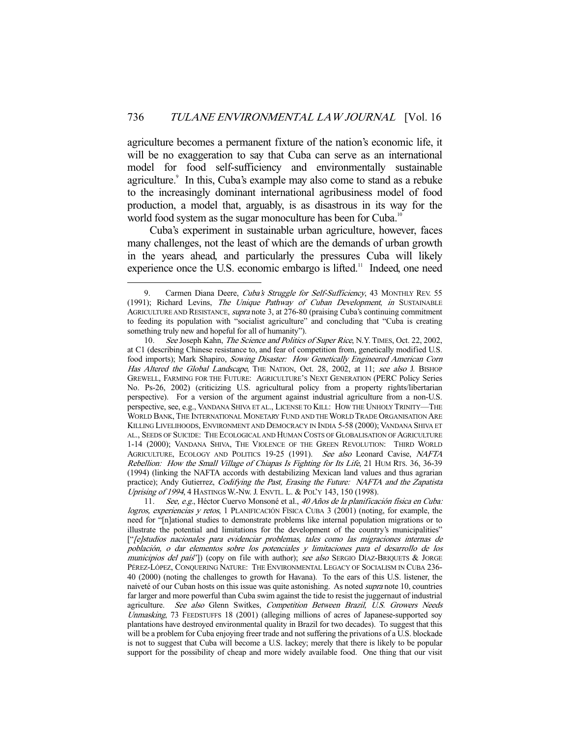agriculture becomes a permanent fixture of the nation's economic life, it will be no exaggeration to say that Cuba can serve as an international model for food self-sufficiency and environmentally sustainable agriculture.<sup>9</sup> In this, Cuba's example may also come to stand as a rebuke to the increasingly dominant international agribusiness model of food production, a model that, arguably, is as disastrous in its way for the world food system as the sugar monoculture has been for Cuba.<sup>10</sup>

 Cuba's experiment in sustainable urban agriculture, however, faces many challenges, not the least of which are the demands of urban growth in the years ahead, and particularly the pressures Cuba will likely experience once the U.S. economic embargo is lifted.<sup>11</sup> Indeed, one need

Carmen Diana Deere, Cuba's Struggle for Self-Sufficiency, 43 MONTHLY REV. 55 (1991); Richard Levins, The Unique Pathway of Cuban Development, in SUSTAINABLE AGRICULTURE AND RESISTANCE, supra note 3, at 276-80 (praising Cuba's continuing commitment to feeding its population with "socialist agriculture" and concluding that "Cuba is creating something truly new and hopeful for all of humanity").

<sup>10.</sup> See Joseph Kahn, The Science and Politics of Super Rice, N.Y. TIMES, Oct. 22, 2002, at C1 (describing Chinese resistance to, and fear of competition from, genetically modified U.S. food imports); Mark Shapiro, Sowing Disaster: How Genetically Engineered American Corn Has Altered the Global Landscape, THE NATION, Oct. 28, 2002, at 11; see also J. BISHOP GREWELL, FARMING FOR THE FUTURE: AGRICULTURE'S NEXT GENERATION (PERC Policy Series No. Ps-26, 2002) (criticizing U.S. agricultural policy from a property rights/libertarian perspective). For a version of the argument against industrial agriculture from a non-U.S. perspective, see, e.g., VANDANA SHIVA ET AL., LICENSE TO KILL: HOW THE UNHOLY TRINITY—THE WORLD BANK, THE INTERNATIONAL MONETARY FUND AND THE WORLD TRADE ORGANISATION ARE KILLING LIVELIHOODS, ENVIRONMENT AND DEMOCRACY IN INDIA 5-58 (2000); VANDANA SHIVA ET AL., SEEDS OF SUICIDE: THE ECOLOGICAL AND HUMAN COSTS OF GLOBALISATION OF AGRICULTURE 1-14 (2000); VANDANA SHIVA, THE VIOLENCE OF THE GREEN REVOLUTION: THIRD WORLD AGRICULTURE, ECOLOGY AND POLITICS 19-25 (1991). See also Leonard Cavise, NAFTA Rebellion: How the Small Village of Chiapas Is Fighting for Its Life, 21 HUM RTS. 36, 36-39 (1994) (linking the NAFTA accords with destabilizing Mexican land values and thus agrarian practice); Andy Gutierrez, Codifying the Past, Erasing the Future: NAFTA and the Zapatista Uprising of 1994, 4 HASTINGS W.-NW. J. ENVTL. L. & POL'Y 143, 150 (1998).

 <sup>11.</sup> See, e.g., Héctor Cuervo Monsoné et al., 40 Años de la planificación física en Cuba: logros, experiencias y retos, 1 PLANIFICACIÓN FÍSICA CUBA 3 (2001) (noting, for example, the need for "[n]ational studies to demonstrate problems like internal population migrations or to illustrate the potential and limitations for the development of the country's municipalities" ["[e]studios nacionales para evidenciar problemas, tales como las migraciones internas de población, o dar elementos sobre los potenciales y limitaciones para el desarrollo de los municipios del país"]) (copy on file with author); see also SERGIO DÍAZ-BRIQUETS & JORGE PÉREZ-LÓPEZ, CONQUERING NATURE: THE ENVIRONMENTAL LEGACY OF SOCIALISM IN CUBA 236- 40 (2000) (noting the challenges to growth for Havana). To the ears of this U.S. listener, the naiveté of our Cuban hosts on this issue was quite astonishing. As noted supra note 10, countries far larger and more powerful than Cuba swim against the tide to resist the juggernaut of industrial agriculture. See also Glenn Switkes, Competition Between Brazil, U.S. Growers Needs Unmasking, 73 FEEDSTUFFS 18 (2001) (alleging millions of acres of Japanese-supported soy plantations have destroyed environmental quality in Brazil for two decades). To suggest that this will be a problem for Cuba enjoying freer trade and not suffering the privations of a U.S. blockade is not to suggest that Cuba will become a U.S. lackey; merely that there is likely to be popular support for the possibility of cheap and more widely available food. One thing that our visit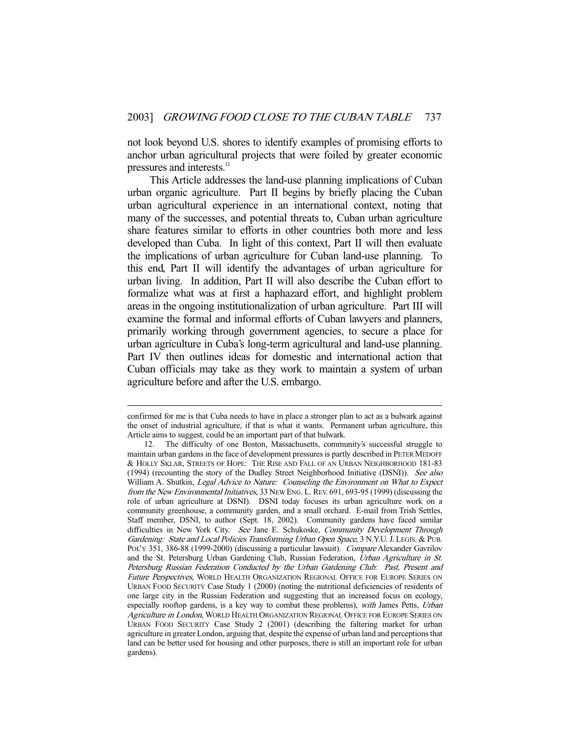not look beyond U.S. shores to identify examples of promising efforts to anchor urban agricultural projects that were foiled by greater economic pressures and interests.<sup>12</sup>

 This Article addresses the land-use planning implications of Cuban urban organic agriculture. Part II begins by briefly placing the Cuban urban agricultural experience in an international context, noting that many of the successes, and potential threats to, Cuban urban agriculture share features similar to efforts in other countries both more and less developed than Cuba. In light of this context, Part II will then evaluate the implications of urban agriculture for Cuban land-use planning. To this end, Part II will identify the advantages of urban agriculture for urban living. In addition, Part II will also describe the Cuban effort to formalize what was at first a haphazard effort, and highlight problem areas in the ongoing institutionalization of urban agriculture. Part III will examine the formal and informal efforts of Cuban lawyers and planners, primarily working through government agencies, to secure a place for urban agriculture in Cuba's long-term agricultural and land-use planning. Part IV then outlines ideas for domestic and international action that Cuban officials may take as they work to maintain a system of urban agriculture before and after the U.S. embargo.

confirmed for me is that Cuba needs to have in place a stronger plan to act as a bulwark against the onset of industrial agriculture, if that is what it wants. Permanent urban agriculture, this Article aims to suggest, could be an important part of that bulwark.

 <sup>12.</sup> The difficulty of one Boston, Massachusetts, community's successful struggle to maintain urban gardens in the face of development pressures is partly described in PETER MEDOFF & HOLLY SKLAR, STREETS OF HOPE: THE RISE AND FALL OF AN URBAN NEIGHBORHOOD 181-83 (1994) (recounting the story of the Dudley Street Neighborhood Initiative (DSNI)). See also William A. Shutkin, Legal Advice to Nature: Counseling the Environment on What to Expect from the New Environmental Initiatives, 33 New Eng. L. Rev. 691, 693-95 (1999) (discussing the role of urban agriculture at DSNI). DSNI today focuses its urban agriculture work on a community greenhouse, a community garden, and a small orchard. E-mail from Trish Settles, Staff member, DSNI, to author (Sept. 18, 2002). Community gardens have faced similar difficulties in New York City. See Jane E. Schukoske, Community Development Through Gardening: State and Local Policies Transforming Urban Open Space, 3 N.Y.U. J. LEGIS. & PUB. POL'Y 351, 386-88 (1999-2000) (discussing a particular lawsuit). Compare Alexander Gavrilov and the St. Petersburg Urban Gardening Club, Russian Federation, Urban Agriculture in St. Petersburg Russian Federation Conducted by the Urban Gardening Club: Past, Present and Future Perspectives, WORLD HEALTH ORGANIZATION REGIONAL OFFICE FOR EUROPE SERIES ON URBAN FOOD SECURITY Case Study 1 (2000) (noting the nutritional deficiencies of residents of one large city in the Russian Federation and suggesting that an increased focus on ecology, especially rooftop gardens, is a key way to combat these problems), with James Petts, Urban Agriculture in London, WORLD HEALTH ORGANIZATION REGIONAL OFFICE FOR EUROPE SERIES ON URBAN FOOD SECURITY Case Study 2 (2001) (describing the faltering market for urban agriculture in greater London, arguing that, despite the expense of urban land and perceptions that land can be better used for housing and other purposes, there is still an important role for urban gardens).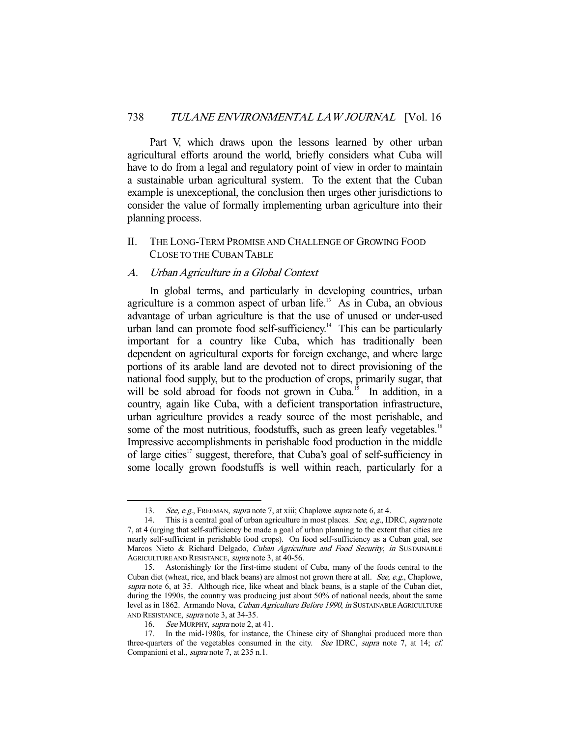Part V, which draws upon the lessons learned by other urban agricultural efforts around the world, briefly considers what Cuba will have to do from a legal and regulatory point of view in order to maintain a sustainable urban agricultural system. To the extent that the Cuban example is unexceptional, the conclusion then urges other jurisdictions to consider the value of formally implementing urban agriculture into their planning process.

# II. THE LONG-TERM PROMISE AND CHALLENGE OF GROWING FOOD CLOSE TO THE CUBAN TABLE

#### A. Urban Agriculture in a Global Context

 In global terms, and particularly in developing countries, urban agriculture is a common aspect of urban life. $13$  As in Cuba, an obvious advantage of urban agriculture is that the use of unused or under-used urban land can promote food self-sufficiency.<sup>14</sup> This can be particularly important for a country like Cuba, which has traditionally been dependent on agricultural exports for foreign exchange, and where large portions of its arable land are devoted not to direct provisioning of the national food supply, but to the production of crops, primarily sugar, that will be sold abroad for foods not grown in Cuba.<sup>15</sup> In addition, in a country, again like Cuba, with a deficient transportation infrastructure, urban agriculture provides a ready source of the most perishable, and some of the most nutritious, foodstuffs, such as green leafy vegetables.<sup>16</sup> Impressive accomplishments in perishable food production in the middle of large cities<sup>17</sup> suggest, therefore, that Cuba's goal of self-sufficiency in some locally grown foodstuffs is well within reach, particularly for a

<sup>13.</sup> See, e.g., FREEMAN, supra note 7, at xiii; Chaplowe supra note 6, at 4.

<sup>14.</sup> This is a central goal of urban agriculture in most places. See, e.g., IDRC, supra note 7, at 4 (urging that self-sufficiency be made a goal of urban planning to the extent that cities are nearly self-sufficient in perishable food crops). On food self-sufficiency as a Cuban goal, see Marcos Nieto & Richard Delgado, Cuban Agriculture and Food Security, in SUSTAINABLE AGRICULTURE AND RESISTANCE, supra note 3, at 40-56.

 <sup>15.</sup> Astonishingly for the first-time student of Cuba, many of the foods central to the Cuban diet (wheat, rice, and black beans) are almost not grown there at all. See, e.g., Chaplowe, supra note 6, at 35. Although rice, like wheat and black beans, is a staple of the Cuban diet, during the 1990s, the country was producing just about 50% of national needs, about the same level as in 1862. Armando Nova, Cuban Agriculture Before 1990, in SUSTAINABLE AGRICULTURE AND RESISTANCE, supra note 3, at 34-35.

<sup>16.</sup> See MURPHY, supra note 2, at 41.

 <sup>17.</sup> In the mid-1980s, for instance, the Chinese city of Shanghai produced more than three-quarters of the vegetables consumed in the city. See IDRC, supra note 7, at 14; cf. Companioni et al., supra note 7, at 235 n.1.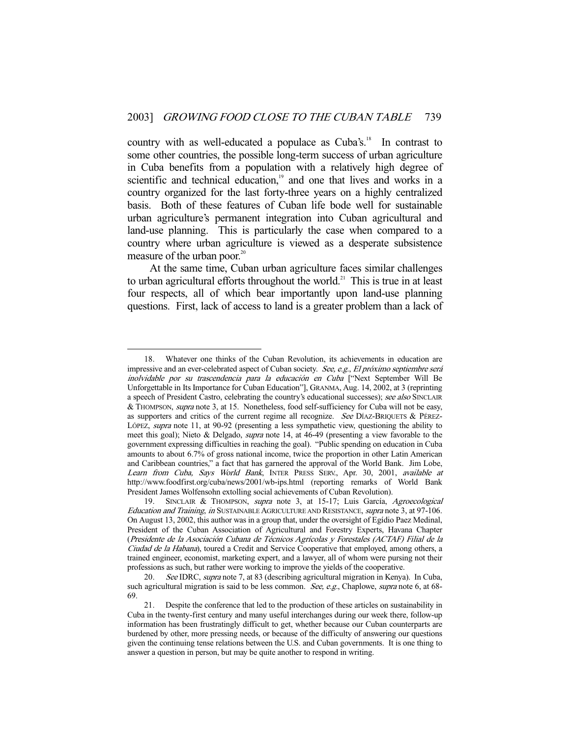country with as well-educated a populace as Cuba's.<sup>18</sup> In contrast to some other countries, the possible long-term success of urban agriculture in Cuba benefits from a population with a relatively high degree of scientific and technical education,<sup>19</sup> and one that lives and works in a country organized for the last forty-three years on a highly centralized basis. Both of these features of Cuban life bode well for sustainable urban agriculture's permanent integration into Cuban agricultural and land-use planning. This is particularly the case when compared to a country where urban agriculture is viewed as a desperate subsistence measure of the urban poor.<sup>20</sup>

 At the same time, Cuban urban agriculture faces similar challenges to urban agricultural efforts throughout the world.<sup>21</sup> This is true in at least four respects, all of which bear importantly upon land-use planning questions. First, lack of access to land is a greater problem than a lack of

 <sup>18.</sup> Whatever one thinks of the Cuban Revolution, its achievements in education are impressive and an ever-celebrated aspect of Cuban society. See, e.g., El próximo septiembre será inolvidable por su trascendencia para la educación en Cuba ["Next September Will Be Unforgettable in Its Importance for Cuban Education"], GRANMA, Aug. 14, 2002, at 3 (reprinting a speech of President Castro, celebrating the country's educational successes); see also SINCLAIR & THOMPSON, supra note 3, at 15. Nonetheless, food self-sufficiency for Cuba will not be easy, as supporters and critics of the current regime all recognize. See DÍAZ-BRIQUETS & PÉREZ-LÓPEZ, supra note 11, at 90-92 (presenting a less sympathetic view, questioning the ability to meet this goal); Nieto & Delgado, *supra* note 14, at 46-49 (presenting a view favorable to the government expressing difficulties in reaching the goal). "Public spending on education in Cuba amounts to about 6.7% of gross national income, twice the proportion in other Latin American and Caribbean countries," a fact that has garnered the approval of the World Bank. Jim Lobe, Learn from Cuba, Says World Bank, INTER PRESS SERV., Apr. 30, 2001, available at http://www.foodfirst.org/cuba/news/2001/wb-ips.html (reporting remarks of World Bank President James Wolfensohn extolling social achievements of Cuban Revolution).

<sup>19.</sup> SINCLAIR & THOMPSON, supra note 3, at 15-17; Luis García, Agroecological Education and Training, in SUSTAINABLE AGRICULTURE AND RESISTANCE, supra note 3, at 97-106. On August 13, 2002, this author was in a group that, under the oversight of Egídio Paez Medinal, President of the Cuban Association of Agricultural and Forestry Experts, Havana Chapter (Presidente de la Asociación Cubana de Técnicos Agrícolas y Forestales (ACTAF) Filial de la Ciudad de la Habana), toured a Credit and Service Cooperative that employed, among others, a trained engineer, economist, marketing expert, and a lawyer, all of whom were pursing not their professions as such, but rather were working to improve the yields of the cooperative.

<sup>20.</sup> See IDRC, supra note 7, at 83 (describing agricultural migration in Kenya). In Cuba, such agricultural migration is said to be less common. See, e.g., Chaplowe, supra note 6, at 68-69.

 <sup>21.</sup> Despite the conference that led to the production of these articles on sustainability in Cuba in the twenty-first century and many useful interchanges during our week there, follow-up information has been frustratingly difficult to get, whether because our Cuban counterparts are burdened by other, more pressing needs, or because of the difficulty of answering our questions given the continuing tense relations between the U.S. and Cuban governments. It is one thing to answer a question in person, but may be quite another to respond in writing.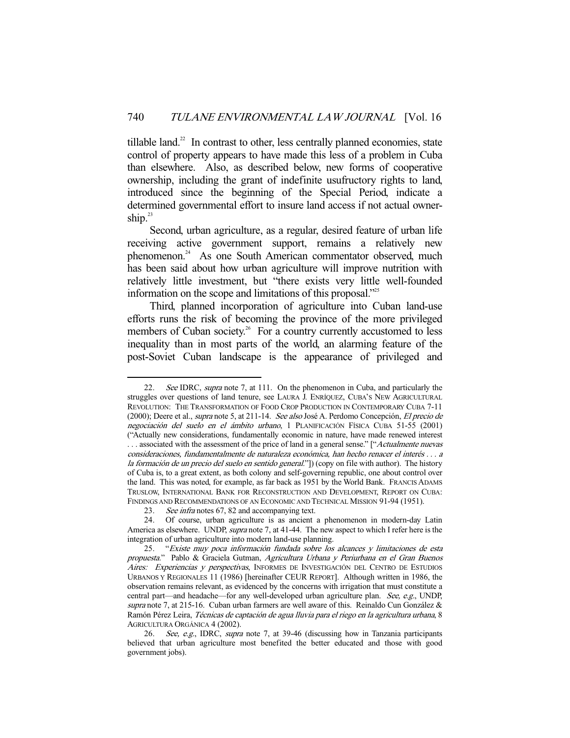tillable land. $22$  In contrast to other, less centrally planned economies, state control of property appears to have made this less of a problem in Cuba than elsewhere. Also, as described below, new forms of cooperative ownership, including the grant of indefinite usufructory rights to land, introduced since the beginning of the Special Period, indicate a determined governmental effort to insure land access if not actual ownership. $^{23}$ 

 Second, urban agriculture, as a regular, desired feature of urban life receiving active government support, remains a relatively new phenomenon.<sup>24</sup> As one South American commentator observed, much has been said about how urban agriculture will improve nutrition with relatively little investment, but "there exists very little well-founded information on the scope and limitations of this proposal."25

 Third, planned incorporation of agriculture into Cuban land-use efforts runs the risk of becoming the province of the more privileged members of Cuban society.<sup>26</sup> For a country currently accustomed to less inequality than in most parts of the world, an alarming feature of the post-Soviet Cuban landscape is the appearance of privileged and

<sup>22.</sup> See IDRC, supra note 7, at 111. On the phenomenon in Cuba, and particularly the struggles over questions of land tenure, see LAURA J. ENRÍQUEZ, CUBA'S NEW AGRICULTURAL REVOLUTION: THE TRANSFORMATION OF FOOD CROP PRODUCTION IN CONTEMPORARY CUBA 7-11 (2000); Deere et al., supra note 5, at 211-14. See also José A. Perdomo Concepción, El precio de negociación del suelo en el ámbito urbano, 1 PLANIFICACIÓN FÍSICA CUBA 51-55 (2001) ("Actually new considerations, fundamentally economic in nature, have made renewed interest ... associated with the assessment of the price of land in a general sense." ["Actualmente nuevas consideraciones, fundamentalmente de naturaleza económica, han hecho renacer el interés . . . a la formación de un precio del suelo en sentido general."]) (copy on file with author). The history of Cuba is, to a great extent, as both colony and self-governing republic, one about control over the land. This was noted, for example, as far back as 1951 by the World Bank. FRANCIS ADAMS TRUSLOW, INTERNATIONAL BANK FOR RECONSTRUCTION AND DEVELOPMENT, REPORT ON CUBA: FINDINGS AND RECOMMENDATIONS OF AN ECONOMIC AND TECHNICAL MISSION 91-94 (1951).

<sup>23.</sup> See infra notes 67, 82 and accompanying text.

 <sup>24.</sup> Of course, urban agriculture is as ancient a phenomenon in modern-day Latin America as elsewhere. UNDP, *supra* note 7, at 41-44. The new aspect to which I refer here is the integration of urban agriculture into modern land-use planning.

 <sup>25. &</sup>quot;Existe muy poca información fundada sobre los alcances y limitaciones de esta propuesta." Pablo & Graciela Gutman, Agricultura Urbana y Periurbana en el Gran Buenos Aires: Experiencias y perspectivas, INFORMES DE INVESTIGACIÓN DEL CENTRO DE ESTUDIOS URBANOS Y REGIONALES 11 (1986) [hereinafter CEUR REPORT]. Although written in 1986, the observation remains relevant, as evidenced by the concerns with irrigation that must constitute a central part—and headache—for any well-developed urban agriculture plan. See, e.g., UNDP, supra note 7, at 215-16. Cuban urban farmers are well aware of this. Reinaldo Cun González & Ramón Pérez Leira, Técnicas de captación de agua lluvia para el riego en la agricultura urbana, 8 AGRICULTURA ORGÁNICA 4 (2002).

<sup>26.</sup> See, e.g., IDRC, supra note 7, at 39-46 (discussing how in Tanzania participants believed that urban agriculture most benefited the better educated and those with good government jobs).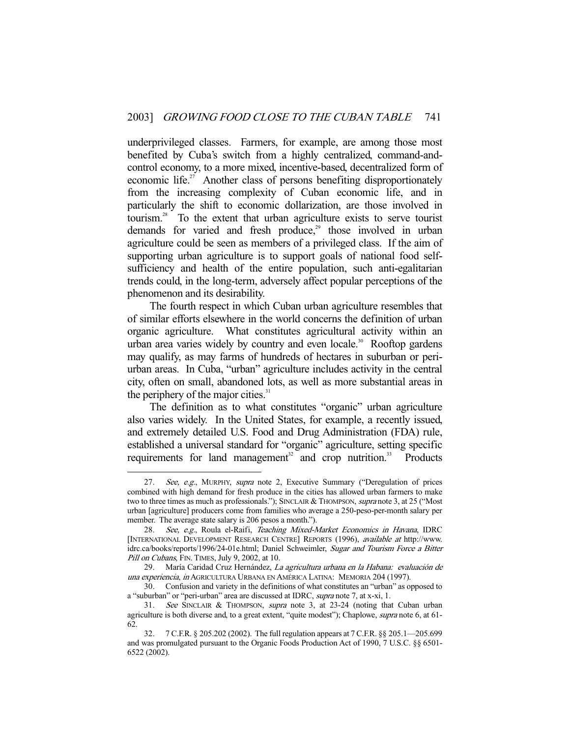underprivileged classes. Farmers, for example, are among those most benefited by Cuba's switch from a highly centralized, command-andcontrol economy, to a more mixed, incentive-based, decentralized form of economic life.<sup>27</sup> Another class of persons benefiting disproportionately from the increasing complexity of Cuban economic life, and in particularly the shift to economic dollarization, are those involved in tourism.<sup>28</sup> To the extent that urban agriculture exists to serve tourist demands for varied and fresh produce,<sup>29</sup> those involved in urban agriculture could be seen as members of a privileged class. If the aim of supporting urban agriculture is to support goals of national food selfsufficiency and health of the entire population, such anti-egalitarian trends could, in the long-term, adversely affect popular perceptions of the phenomenon and its desirability.

 The fourth respect in which Cuban urban agriculture resembles that of similar efforts elsewhere in the world concerns the definition of urban organic agriculture. What constitutes agricultural activity within an urban area varies widely by country and even locale.<sup>30</sup> Rooftop gardens may qualify, as may farms of hundreds of hectares in suburban or periurban areas. In Cuba, "urban" agriculture includes activity in the central city, often on small, abandoned lots, as well as more substantial areas in the periphery of the major cities.<sup>31</sup>

 The definition as to what constitutes "organic" urban agriculture also varies widely. In the United States, for example, a recently issued, and extremely detailed U.S. Food and Drug Administration (FDA) rule, established a universal standard for "organic" agriculture, setting specific requirements for land management<sup>32</sup> and crop nutrition.<sup>33</sup> Products

<sup>27.</sup> See, e.g., MURPHY, supra note 2, Executive Summary ("Deregulation of prices combined with high demand for fresh produce in the cities has allowed urban farmers to make two to three times as much as professionals."); SINCLAIR & THOMPSON, supra note 3, at 25 ("Most urban [agriculture] producers come from families who average a 250-peso-per-month salary per member. The average state salary is 206 pesos a month.").

<sup>28.</sup> See, e.g., Roula el-Raifi, Teaching Mixed-Market Economics in Havana, IDRC [INTERNATIONAL DEVELOPMENT RESEARCH CENTRE] REPORTS (1996), available at http://www. idrc.ca/books/reports/1996/24-01e.html; Daniel Schweimler, Sugar and Tourism Force a Bitter Pill on Cubans, FIN. TIMES, July 9, 2002, at 10.

 <sup>29.</sup> María Caridad Cruz Hernández, La agricultura urbana en la Habana: evaluación de una experiencia, in AGRICULTURA URBANA EN AMÉRICA LATINA: MEMORIA 204 (1997).

 <sup>30.</sup> Confusion and variety in the definitions of what constitutes an "urban" as opposed to a "suburban" or "peri-urban" area are discussed at IDRC, supra note 7, at x-xi, 1.

 <sup>31.</sup> See SINCLAIR & THOMPSON, supra note 3, at 23-24 (noting that Cuban urban agriculture is both diverse and, to a great extent, "quite modest"); Chaplowe, supra note 6, at 61-62.

 <sup>32. 7</sup> C.F.R. § 205.202 (2002). The full regulation appears at 7 C.F.R. §§ 205.1—205.699 and was promulgated pursuant to the Organic Foods Production Act of 1990, 7 U.S.C. §§ 6501- 6522 (2002).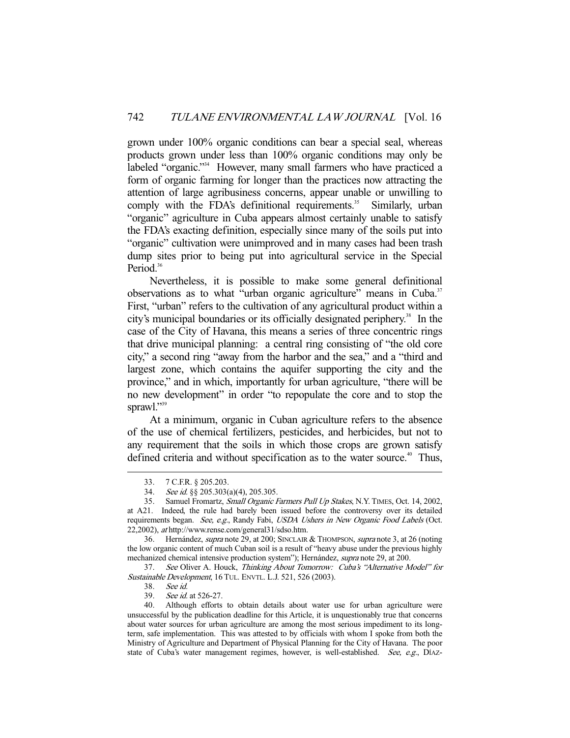grown under 100% organic conditions can bear a special seal, whereas products grown under less than 100% organic conditions may only be labeled "organic."<sup>34</sup> However, many small farmers who have practiced a form of organic farming for longer than the practices now attracting the attention of large agribusiness concerns, appear unable or unwilling to comply with the FDA's definitional requirements.<sup>35</sup> Similarly, urban "organic" agriculture in Cuba appears almost certainly unable to satisfy the FDA's exacting definition, especially since many of the soils put into "organic" cultivation were unimproved and in many cases had been trash dump sites prior to being put into agricultural service in the Special Period.<sup>36</sup>

 Nevertheless, it is possible to make some general definitional observations as to what "urban organic agriculture" means in Cuba.<sup>37</sup> First, "urban" refers to the cultivation of any agricultural product within a city's municipal boundaries or its officially designated periphery.<sup>38</sup> In the case of the City of Havana, this means a series of three concentric rings that drive municipal planning: a central ring consisting of "the old core city," a second ring "away from the harbor and the sea," and a "third and largest zone, which contains the aquifer supporting the city and the province," and in which, importantly for urban agriculture, "there will be no new development" in order "to repopulate the core and to stop the sprawl."39

 At a minimum, organic in Cuban agriculture refers to the absence of the use of chemical fertilizers, pesticides, and herbicides, but not to any requirement that the soils in which those crops are grown satisfy defined criteria and without specification as to the water source.<sup>40</sup> Thus,

<sup>33. 7</sup> C.F.R. § 205.203.<br>34. *See id.* §§ 205.303(<br>35. Samuel Fromartz, *S* 

See id. §§ 205.303(a)(4), 205.305.

Samuel Fromartz, Small Organic Farmers Pull Up Stakes, N.Y. TIMES, Oct. 14, 2002, at A21. Indeed, the rule had barely been issued before the controversy over its detailed requirements began. See, e.g., Randy Fabi, USDA Ushers in New Organic Food Labels (Oct. 22,2002), at http://www.rense.com/general31/sdso.htm.

 <sup>36.</sup> Hernández, supra note 29, at 200; SINCLAIR & THOMPSON, supra note 3, at 26 (noting the low organic content of much Cuban soil is a result of "heavy abuse under the previous highly mechanized chemical intensive production system"); Hernández, supra note 29, at 200.

 <sup>37.</sup> See Oliver A. Houck, Thinking About Tomorrow: Cuba's "Alternative Model" for Sustainable Development, 16 TUL. ENVTL. L.J. 521, 526 (2003).

 <sup>38.</sup> See id.

 <sup>39.</sup> See id. at 526-27.

 <sup>40.</sup> Although efforts to obtain details about water use for urban agriculture were unsuccessful by the publication deadline for this Article, it is unquestionably true that concerns about water sources for urban agriculture are among the most serious impediment to its longterm, safe implementation. This was attested to by officials with whom I spoke from both the Ministry of Agriculture and Department of Physical Planning for the City of Havana. The poor state of Cuba's water management regimes, however, is well-established. See, e.g., DÍAZ-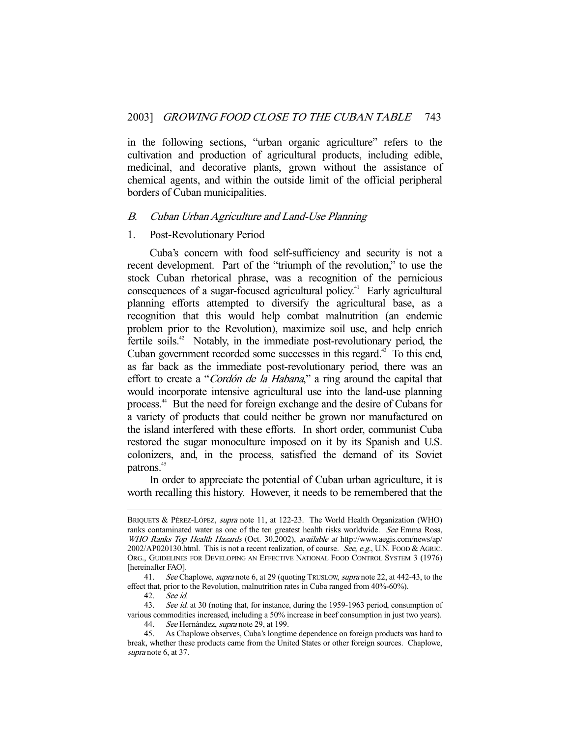in the following sections, "urban organic agriculture" refers to the cultivation and production of agricultural products, including edible, medicinal, and decorative plants, grown without the assistance of chemical agents, and within the outside limit of the official peripheral borders of Cuban municipalities.

#### B. Cuban Urban Agriculture and Land-Use Planning

#### 1. Post-Revolutionary Period

 Cuba's concern with food self-sufficiency and security is not a recent development. Part of the "triumph of the revolution," to use the stock Cuban rhetorical phrase, was a recognition of the pernicious consequences of a sugar-focused agricultural policy.<sup>41</sup> Early agricultural planning efforts attempted to diversify the agricultural base, as a recognition that this would help combat malnutrition (an endemic problem prior to the Revolution), maximize soil use, and help enrich fertile soils.<sup>42</sup> Notably, in the immediate post-revolutionary period, the Cuban government recorded some successes in this regard.<sup>43</sup> To this end, as far back as the immediate post-revolutionary period, there was an effort to create a "Cordón de la Habana," a ring around the capital that would incorporate intensive agricultural use into the land-use planning process.44 But the need for foreign exchange and the desire of Cubans for a variety of products that could neither be grown nor manufactured on the island interfered with these efforts. In short order, communist Cuba restored the sugar monoculture imposed on it by its Spanish and U.S. colonizers, and, in the process, satisfied the demand of its Soviet patrons.<sup>45</sup>

 In order to appreciate the potential of Cuban urban agriculture, it is worth recalling this history. However, it needs to be remembered that the

BRIQUETS & PÉREZ-LÓPEZ, supra note 11, at 122-23. The World Health Organization (WHO) ranks contaminated water as one of the ten greatest health risks worldwide. See Emma Ross, WHO Ranks Top Health Hazards (Oct. 30,2002), available at http://www.aegis.com/news/ap/  $2002/AP020130$ .html. This is not a recent realization, of course. See, e.g., U.N. FOOD & AGRIC. ORG., GUIDELINES FOR DEVELOPING AN EFFECTIVE NATIONAL FOOD CONTROL SYSTEM 3 (1976) [hereinafter FAO].

<sup>41.</sup> See Chaplowe, *supra* note 6, at 29 (quoting Trus Low, *supra* note 22, at 442-43, to the effect that, prior to the Revolution, malnutrition rates in Cuba ranged from 40%-60%).

 <sup>42.</sup> See id.

<sup>43.</sup> See id. at 30 (noting that, for instance, during the 1959-1963 period, consumption of various commodities increased, including a 50% increase in beef consumption in just two years).

<sup>44.</sup> See Hernández, *supra* note 29, at 199.<br>45. As Chaplowe observes, Cuba's longtin 45. As Chaplowe observes, Cuba's longtime dependence on foreign products was hard to break, whether these products came from the United States or other foreign sources. Chaplowe, supra note 6, at 37.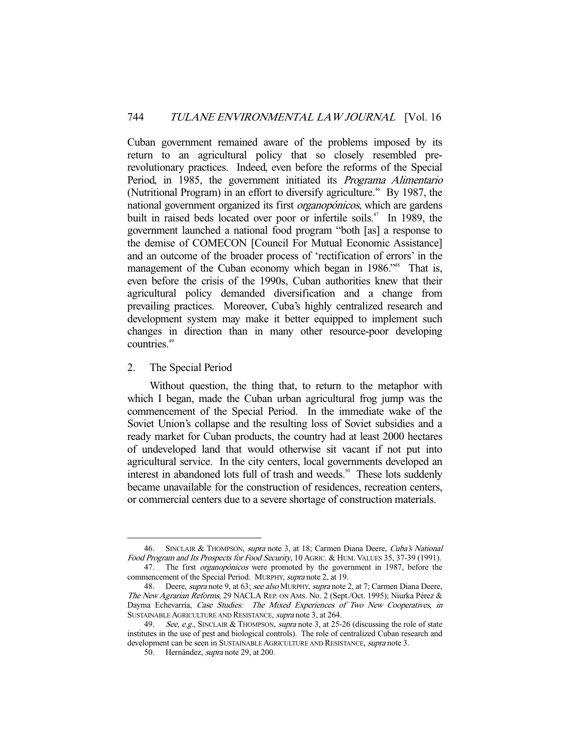Cuban government remained aware of the problems imposed by its return to an agricultural policy that so closely resembled prerevolutionary practices. Indeed, even before the reforms of the Special Period, in 1985, the government initiated its *Programa Alimentario* (Nutritional Program) in an effort to diversify agriculture.<sup>46</sup> By 1987, the national government organized its first organopónicos, which are gardens built in raised beds located over poor or infertile soils.<sup> $47$ </sup> In 1989, the government launched a national food program "both [as] a response to the demise of COMECON [Council For Mutual Economic Assistance] and an outcome of the broader process of 'rectification of errors' in the management of the Cuban economy which began in 1986.<sup>\*\*</sup> That is, even before the crisis of the 1990s, Cuban authorities knew that their agricultural policy demanded diversification and a change from prevailing practices. Moreover, Cuba's highly centralized research and development system may make it better equipped to implement such changes in direction than in many other resource-poor developing countries.<sup>49</sup>

#### 2. The Special Period

-

 Without question, the thing that, to return to the metaphor with which I began, made the Cuban urban agricultural frog jump was the commencement of the Special Period. In the immediate wake of the Soviet Union's collapse and the resulting loss of Soviet subsidies and a ready market for Cuban products, the country had at least 2000 hectares of undeveloped land that would otherwise sit vacant if not put into agricultural service. In the city centers, local governments developed an interest in abandoned lots full of trash and weeds.<sup>50</sup> These lots suddenly became unavailable for the construction of residences, recreation centers, or commercial centers due to a severe shortage of construction materials.

<sup>46.</sup> SINCLAIR & THOMPSON, *supra* note 3, at 18; Carmen Diana Deere, *Cuba's National* Food Program and Its Prospects for Food Security, 10 AGRIC. & HUM. VALUES 35, 37-39 (1991). 47. The first organopónicos were promoted by the government in 1987, before the

commencement of the Special Period. MURPHY, supra note 2, at 19.

<sup>48.</sup> Deere, supra note 9, at 63; see also MURPHY, supra note 2, at 7; Carmen Diana Deere, The New Agrarian Reforms, 29 NACLA REP. ON AMS. No. 2 (Sept./Oct. 1995); Niurka Pérez & Dayma Echevarría, Case Studies: The Mixed Experiences of Two New Cooperatives, in SUSTAINABLE AGRICULTURE AND RESISTANCE, supra note 3, at 264.

<sup>49.</sup> See, e.g., SINCLAIR & THOMPSON, supra note 3, at 25-26 (discussing the role of state institutes in the use of pest and biological controls). The role of centralized Cuban research and development can be seen in SUSTAINABLE AGRICULTURE AND RESISTANCE, *supra* note 3.

<sup>50.</sup> Hernández, *supra* note 29, at 200.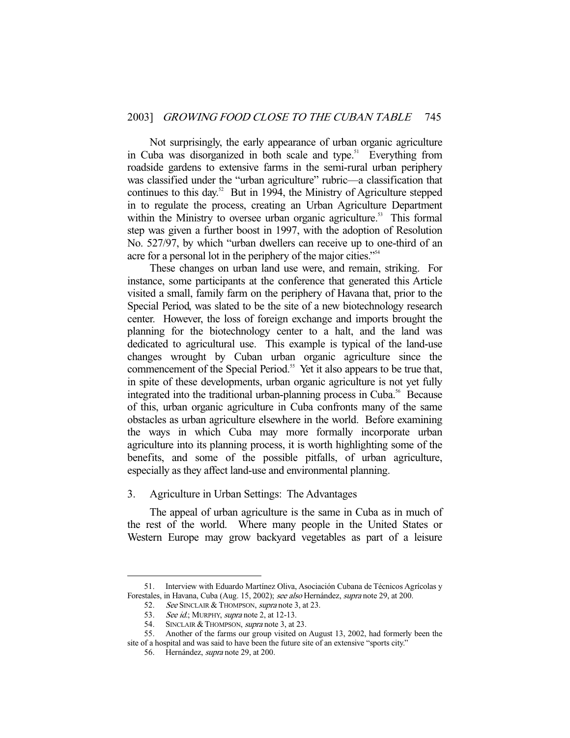Not surprisingly, the early appearance of urban organic agriculture in Cuba was disorganized in both scale and type.<sup>51</sup> Everything from roadside gardens to extensive farms in the semi-rural urban periphery was classified under the "urban agriculture" rubric—a classification that continues to this day. $52$  But in 1994, the Ministry of Agriculture stepped in to regulate the process, creating an Urban Agriculture Department within the Ministry to oversee urban organic agriculture.<sup>53</sup> This formal step was given a further boost in 1997, with the adoption of Resolution No. 527/97, by which "urban dwellers can receive up to one-third of an acre for a personal lot in the periphery of the major cities."<sup>554</sup>

 These changes on urban land use were, and remain, striking. For instance, some participants at the conference that generated this Article visited a small, family farm on the periphery of Havana that, prior to the Special Period, was slated to be the site of a new biotechnology research center. However, the loss of foreign exchange and imports brought the planning for the biotechnology center to a halt, and the land was dedicated to agricultural use. This example is typical of the land-use changes wrought by Cuban urban organic agriculture since the commencement of the Special Period.<sup>55</sup> Yet it also appears to be true that, in spite of these developments, urban organic agriculture is not yet fully integrated into the traditional urban-planning process in Cuba.<sup>56</sup> Because of this, urban organic agriculture in Cuba confronts many of the same obstacles as urban agriculture elsewhere in the world. Before examining the ways in which Cuba may more formally incorporate urban agriculture into its planning process, it is worth highlighting some of the benefits, and some of the possible pitfalls, of urban agriculture, especially as they affect land-use and environmental planning.

#### 3. Agriculture in Urban Settings: The Advantages

 The appeal of urban agriculture is the same in Cuba as in much of the rest of the world. Where many people in the United States or Western Europe may grow backyard vegetables as part of a leisure

 <sup>51.</sup> Interview with Eduardo Martínez Oliva, Asociación Cubana de Técnicos Agrícolas y Forestales, in Havana, Cuba (Aug. 15, 2002); see also Hernández, supra note 29, at 200.

<sup>52.</sup> See SINCLAIR & THOMPSON, *supra* note 3, at 23.

<sup>53.</sup> See id.; MURPHY, supra note 2, at 12-13.<br>54. SINCLAIR & THOMPSON, supra note 3, at

<sup>54.</sup> SINCLAIR & THOMPSON, *supra* note 3, at 23.<br>55. Another of the farms our group visited on 55. Another of the farms our group visited on August 13, 2002, had formerly been the site of a hospital and was said to have been the future site of an extensive "sports city."

 <sup>56.</sup> Hernández, supra note 29, at 200.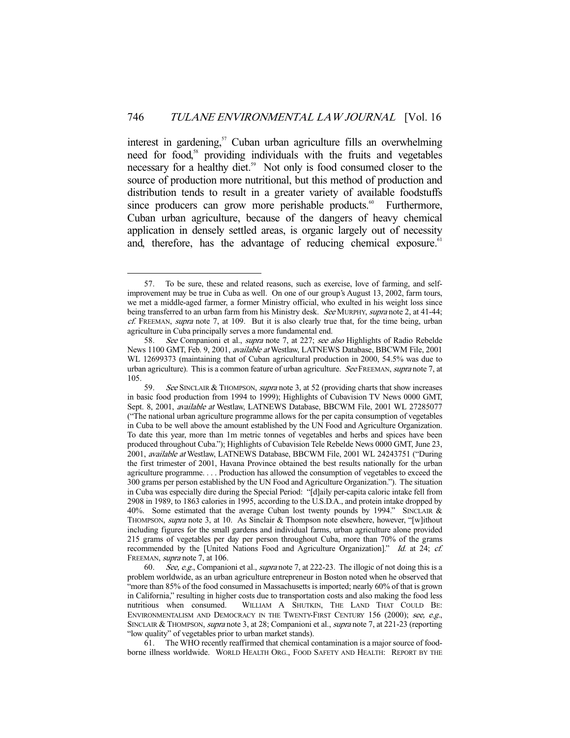interest in gardening,<sup>57</sup> Cuban urban agriculture fills an overwhelming need for food,<sup>58</sup> providing individuals with the fruits and vegetables necessary for a healthy diet.<sup>59</sup> Not only is food consumed closer to the source of production more nutritional, but this method of production and distribution tends to result in a greater variety of available foodstuffs since producers can grow more perishable products.<sup>60</sup> Furthermore, Cuban urban agriculture, because of the dangers of heavy chemical application in densely settled areas, is organic largely out of necessity and, therefore, has the advantage of reducing chemical exposure.<sup>61</sup>

 <sup>57.</sup> To be sure, these and related reasons, such as exercise, love of farming, and selfimprovement may be true in Cuba as well. On one of our group's August 13, 2002, farm tours, we met a middle-aged farmer, a former Ministry official, who exulted in his weight loss since being transferred to an urban farm from his Ministry desk. See MURPHY, supra note 2, at 41-44;  $cf.$  FREEMAN, supra note 7, at 109. But it is also clearly true that, for the time being, urban agriculture in Cuba principally serves a more fundamental end.

<sup>58.</sup> See Companioni et al., *supra* note 7, at 227; see also Highlights of Radio Rebelde News 1100 GMT, Feb. 9, 2001, available at Westlaw, LATNEWS Database, BBCWM File, 2001 WL 12699373 (maintaining that of Cuban agricultural production in 2000, 54.5% was due to urban agriculture). This is a common feature of urban agriculture. See FREEMAN, supra note 7, at 105.

<sup>59.</sup> See SINCLAIR & THOMPSON, supra note 3, at 52 (providing charts that show increases in basic food production from 1994 to 1999); Highlights of Cubavision TV News 0000 GMT, Sept. 8, 2001, available at Westlaw, LATNEWS Database, BBCWM File, 2001 WL 27285077 ("The national urban agriculture programme allows for the per capita consumption of vegetables in Cuba to be well above the amount established by the UN Food and Agriculture Organization. To date this year, more than 1m metric tonnes of vegetables and herbs and spices have been produced throughout Cuba."); Highlights of Cubavision Tele Rebelde News 0000 GMT, June 23, 2001, available at Westlaw, LATNEWS Database, BBCWM File, 2001 WL 24243751 ("During the first trimester of 2001, Havana Province obtained the best results nationally for the urban agriculture programme. . . . Production has allowed the consumption of vegetables to exceed the 300 grams per person established by the UN Food and Agriculture Organization."). The situation in Cuba was especially dire during the Special Period: "[d]aily per-capita caloric intake fell from 2908 in 1989, to 1863 calories in 1995, according to the U.S.D.A., and protein intake dropped by 40%. Some estimated that the average Cuban lost twenty pounds by 1994." SINCLAIR & THOMPSON, supra note 3, at 10. As Sinclair & Thompson note elsewhere, however, "[w]ithout including figures for the small gardens and individual farms, urban agriculture alone provided 215 grams of vegetables per day per person throughout Cuba, more than 70% of the grams recommended by the [United Nations Food and Agriculture Organization]." Id. at 24; cf. FREEMAN, supra note 7, at 106.

<sup>60.</sup> See, e.g., Companioni et al., supra note 7, at 222-23. The illogic of not doing this is a problem worldwide, as an urban agriculture entrepreneur in Boston noted when he observed that "more than 85% of the food consumed in Massachusetts is imported; nearly 60% of that is grown in California," resulting in higher costs due to transportation costs and also making the food less nutritious when consumed. WILLIAM A SHUTKIN, THE LAND THAT COULD BE: ENVIRONMENTALISM AND DEMOCRACY IN THE TWENTY-FIRST CENTURY 156 (2000); see, e.g., SINCLAIR & THOMPSON, *supra* note 3, at 28; Companioni et al., *supra* note 7, at 221-23 (reporting "low quality" of vegetables prior to urban market stands).

 <sup>61.</sup> The WHO recently reaffirmed that chemical contamination is a major source of foodborne illness worldwide. WORLD HEALTH ORG., FOOD SAFETY AND HEALTH: REPORT BY THE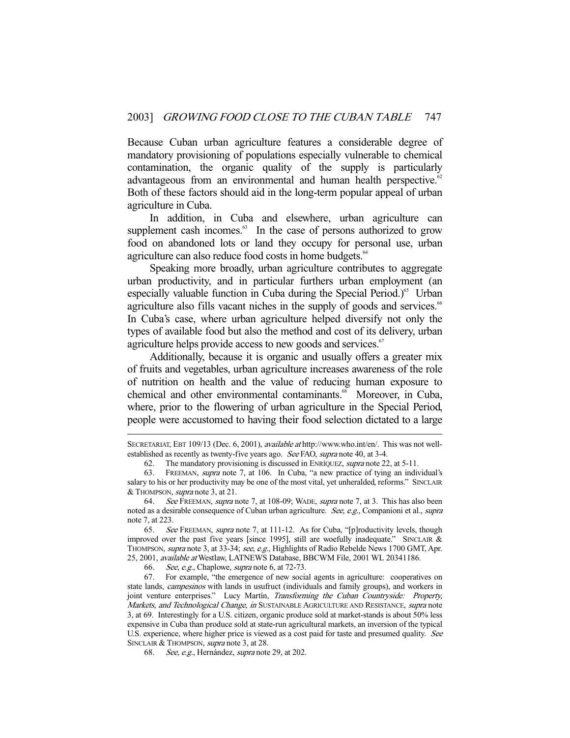Because Cuban urban agriculture features a considerable degree of mandatory provisioning of populations especially vulnerable to chemical contamination, the organic quality of the supply is particularly advantageous from an environmental and human health perspective. $62$ Both of these factors should aid in the long-term popular appeal of urban agriculture in Cuba.

 In addition, in Cuba and elsewhere, urban agriculture can supplement cash incomes.<sup>63</sup> In the case of persons authorized to grow food on abandoned lots or land they occupy for personal use, urban agriculture can also reduce food costs in home budgets.<sup>64</sup>

 Speaking more broadly, urban agriculture contributes to aggregate urban productivity, and in particular furthers urban employment (an especially valuable function in Cuba during the Special Period.) $65$  Urban agriculture also fills vacant niches in the supply of goods and services.<sup>66</sup> In Cuba's case, where urban agriculture helped diversify not only the types of available food but also the method and cost of its delivery, urban agriculture helps provide access to new goods and services.<sup>67</sup>

 Additionally, because it is organic and usually offers a greater mix of fruits and vegetables, urban agriculture increases awareness of the role of nutrition on health and the value of reducing human exposure to chemical and other environmental contaminants.<sup>68</sup> Moreover, in Cuba, where, prior to the flowering of urban agriculture in the Special Period, people were accustomed to having their food selection dictated to a large

66. See, e.g., Chaplowe, supra note 6, at 72-73.

-

 67. For example, "the emergence of new social agents in agriculture: cooperatives on state lands, *campesinos* with lands in usufruct (individuals and family groups), and workers in joint venture enterprises." Lucy Martín, Transforming the Cuban Countryside: Property, Markets, and Technological Change, in SUSTAINABLE AGRICULTURE AND RESISTANCE, supra note 3, at 69. Interestingly for a U.S. citizen, organic produce sold at market-stands is about 50% less expensive in Cuba than produce sold at state-run agricultural markets, an inversion of the typical U.S. experience, where higher price is viewed as a cost paid for taste and presumed quality. See SINCLAIR & THOMPSON, supra note 3, at 28.

68. See, e.g., Hernández, *supra* note 29, at 202.

SECRETARIAT, EBT 109/13 (Dec. 6, 2001), available at http://www.who.int/en/. This was not wellestablished as recently as twenty-five years ago. See FAO, supra note 40, at 3-4.

<sup>62.</sup> The mandatory provisioning is discussed in ENRÍQUEZ, supra note 22, at 5-11.

 <sup>63.</sup> FREEMAN, supra note 7, at 106. In Cuba, "a new practice of tying an individual's salary to his or her productivity may be one of the most vital, yet unheralded, reforms." SINCLAIR & THOMPSON, supra note 3, at 21.

<sup>64.</sup> See FREEMAN, supra note 7, at 108-09; WADE, supra note 7, at 3. This has also been noted as a desirable consequence of Cuban urban agriculture. See, e.g., Companioni et al., supra note 7, at 223.

 <sup>65.</sup> See FREEMAN, supra note 7, at 111-12. As for Cuba, "[p]roductivity levels, though improved over the past five years [since 1995], still are woefully inadequate." SINCLAIR & THOMPSON, supra note 3, at 33-34; see, e.g., Highlights of Radio Rebelde News 1700 GMT, Apr. 25, 2001, available at Westlaw, LATNEWS Database, BBCWM File, 2001 WL 20341186.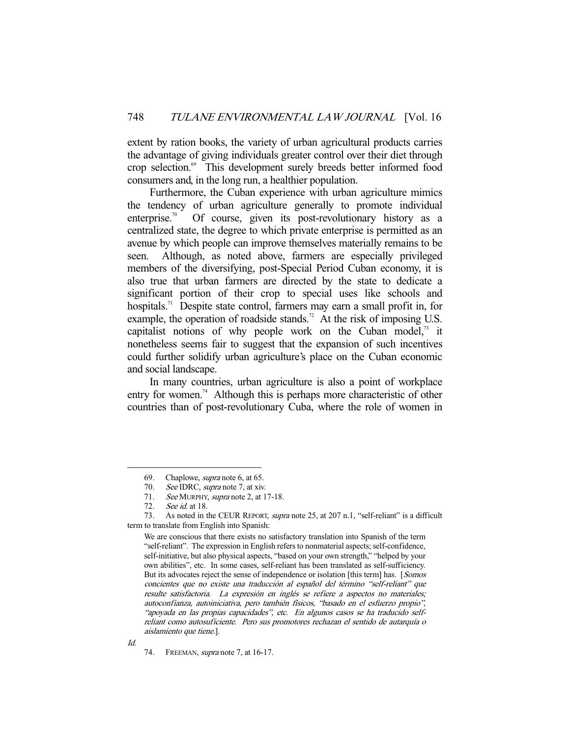extent by ration books, the variety of urban agricultural products carries the advantage of giving individuals greater control over their diet through crop selection.<sup>69</sup> This development surely breeds better informed food consumers and, in the long run, a healthier population.

 Furthermore, the Cuban experience with urban agriculture mimics the tendency of urban agriculture generally to promote individual enterprise.<sup>70</sup> Of course, given its post-revolutionary history as a centralized state, the degree to which private enterprise is permitted as an avenue by which people can improve themselves materially remains to be seen. Although, as noted above, farmers are especially privileged members of the diversifying, post-Special Period Cuban economy, it is also true that urban farmers are directed by the state to dedicate a significant portion of their crop to special uses like schools and hospitals.<sup>71</sup> Despite state control, farmers may earn a small profit in, for example, the operation of roadside stands.<sup>72</sup> At the risk of imposing U.S. capitalist notions of why people work on the Cuban model, $^{73}$  it nonetheless seems fair to suggest that the expansion of such incentives could further solidify urban agriculture's place on the Cuban economic and social landscape.

 In many countries, urban agriculture is also a point of workplace entry for women.<sup>74</sup> Although this is perhaps more characteristic of other countries than of post-revolutionary Cuba, where the role of women in

 <sup>69.</sup> Chaplowe, supra note 6, at 65.

<sup>70.</sup> See IDRC, supra note 7, at xiv.

<sup>71.</sup> See MURPHY, supra note 2, at 17-18.

 <sup>72.</sup> See id. at 18.

<sup>73.</sup> As noted in the CEUR REPORT, *supra* note 25, at 207 n.1, "self-reliant" is a difficult term to translate from English into Spanish:

We are conscious that there exists no satisfactory translation into Spanish of the term "self-reliant". The expression in English refers to nonmaterial aspects; self-confidence, self-initiative, but also physical aspects, "based on your own strength," "helped by your own abilities", etc. In some cases, self-reliant has been translated as self-sufficiency. But its advocates reject the sense of independence or isolation [this term] has. [Somos concientes que no existe una traducción al español del término "self-reliant" que resulte satisfactoria. La expresión en inglés se refiere a aspectos no materiales; autoconfianza, autoiniciativa, pero también físicos, "basado en el esfuerzo propio", "apoyada en las propias capacidades", etc. En algunos casos se ha traducido selfreliant como autosuficiente. Pero sus promotores rechazan el sentido de autarquía o aislamiento que tiene.].

<sup>74.</sup> FREEMAN, *supra* note 7, at 16-17.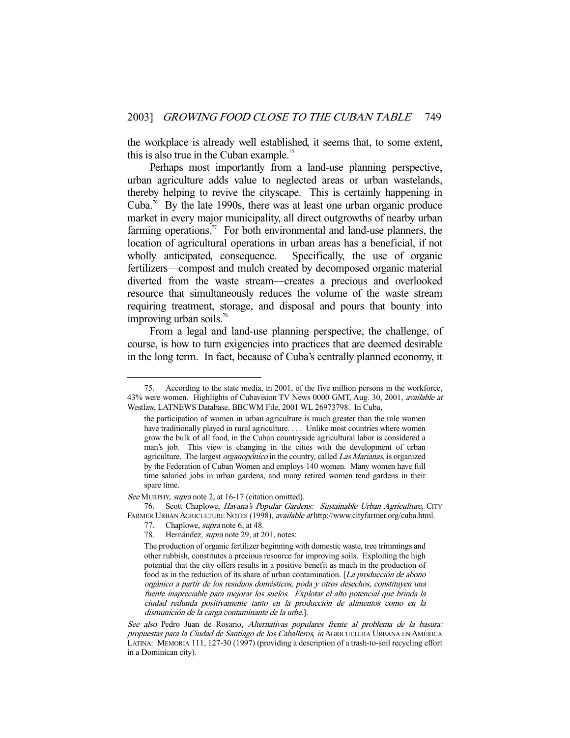the workplace is already well established, it seems that, to some extent, this is also true in the Cuban example.<sup>75</sup>

 Perhaps most importantly from a land-use planning perspective, urban agriculture adds value to neglected areas or urban wastelands, thereby helping to revive the cityscape. This is certainly happening in Cuba.<sup>76</sup> By the late 1990s, there was at least one urban organic produce market in every major municipality, all direct outgrowths of nearby urban farming operations.<sup>77</sup> For both environmental and land-use planners, the location of agricultural operations in urban areas has a beneficial, if not wholly anticipated, consequence. Specifically, the use of organic fertilizers—compost and mulch created by decomposed organic material diverted from the waste stream—creates a precious and overlooked resource that simultaneously reduces the volume of the waste stream requiring treatment, storage, and disposal and pours that bounty into improving urban soils. $78$ 

 From a legal and land-use planning perspective, the challenge, of course, is how to turn exigencies into practices that are deemed desirable in the long term. In fact, because of Cuba's centrally planned economy, it

See MURPHY, supra note 2, at 16-17 (citation omitted).

76. Scott Chaplowe, Havana's Popular Gardens: Sustainable Urban Agriculture, CITY FARMER URBAN AGRICULTURE NOTES (1998), available at http://www.cityfarmer.org/cuba.html.

 <sup>75.</sup> According to the state media, in 2001, of the five million persons in the workforce, 43% were women. Highlights of Cubavision TV News 0000 GMT, Aug. 30, 2001, *available at* Westlaw, LATNEWS Database, BBCWM File, 2001 WL 26973798. In Cuba,

the participation of women in urban agriculture is much greater than the role women have traditionally played in rural agriculture. . . . Unlike most countries where women grow the bulk of all food, in the Cuban countryside agricultural labor is considered a man's job. This view is changing in the cities with the development of urban agriculture. The largest *organopónico* in the country, called Las Marianas, is organized by the Federation of Cuban Women and employs 140 women. Many women have full time salaried jobs in urban gardens, and many retired women tend gardens in their spare time.

 <sup>77.</sup> Chaplowe, supra note 6, at 48.

<sup>78.</sup> Hernández, *supra* note 29, at 201, notes:

The production of organic fertilizer beginning with domestic waste, tree trimmings and other rubbish, constitutes a precious resource for improving soils. Exploiting the high potential that the city offers results in a positive benefit as much in the production of food as in the reduction of its share of urban contamination. [La producción de abono orgánico a partir de los residuos domésticos, poda y otros desechos, constituyen una fuente inapreciable para mejorar los suelos. Explotar el alto potencial que brinda la ciudad redunda positivamente tanto en la producción de alimentos como en la dismunición de la carga contaminante de la urbe.].

See also Pedro Juan de Rosario, Alternativas populares frente al problema de la basura: propuestas para la Ciudad de Santiago de los Caballeros, in AGRICULTURA URBANA EN AMÉRICA LATINA: MEMORIA 111, 127-30 (1997) (providing a description of a trash-to-soil recycling effort in a Dominican city).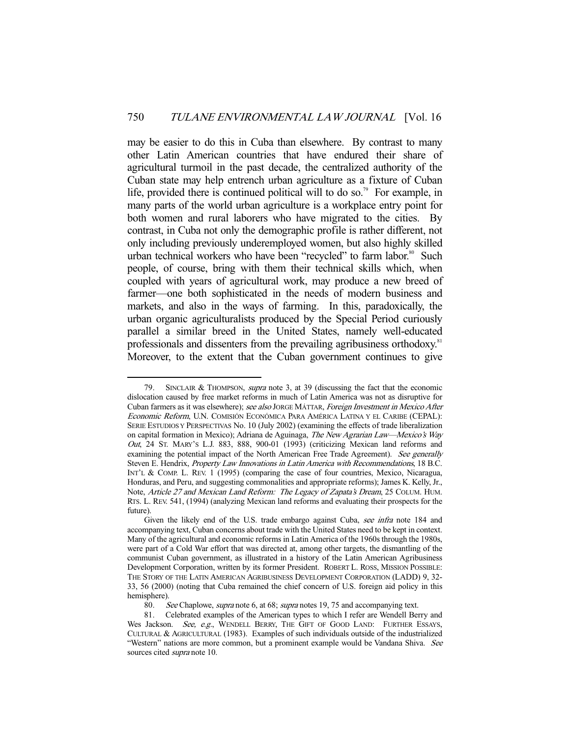may be easier to do this in Cuba than elsewhere. By contrast to many other Latin American countries that have endured their share of agricultural turmoil in the past decade, the centralized authority of the Cuban state may help entrench urban agriculture as a fixture of Cuban life, provided there is continued political will to do so.<sup>79</sup> For example, in many parts of the world urban agriculture is a workplace entry point for both women and rural laborers who have migrated to the cities. By contrast, in Cuba not only the demographic profile is rather different, not only including previously underemployed women, but also highly skilled urban technical workers who have been "recycled" to farm labor.<sup>80</sup> Such people, of course, bring with them their technical skills which, when coupled with years of agricultural work, may produce a new breed of farmer—one both sophisticated in the needs of modern business and markets, and also in the ways of farming. In this, paradoxically, the urban organic agriculturalists produced by the Special Period curiously parallel a similar breed in the United States, namely well-educated professionals and dissenters from the prevailing agribusiness orthodoxy.<sup>81</sup> Moreover, to the extent that the Cuban government continues to give

SINCLAIR & THOMPSON, supra note 3, at 39 (discussing the fact that the economic dislocation caused by free market reforms in much of Latin America was not as disruptive for Cuban farmers as it was elsewhere); see also JORGE MÁTTAR, Foreign Investment in Mexico After Economic Reform, U.N. COMISIÓN ECONÓMICA PARA AMÉRICA LATINA Y EL CARIBE (CEPAL): SERIE ESTUDIOS Y PERSPECTIVAS No. 10 (July 2002) (examining the effects of trade liberalization on capital formation in Mexico); Adriana de Aguinaga, The New Agrarian Law—Mexico's Way Out, 24 ST. MARY'S L.J. 883, 888, 900-01 (1993) (criticizing Mexican land reforms and examining the potential impact of the North American Free Trade Agreement). See generally Steven E. Hendrix, Property Law Innovations in Latin America with Recommendations, 18 B.C. INT'L & COMP. L. REV. 1 (1995) (comparing the case of four countries, Mexico, Nicaragua, Honduras, and Peru, and suggesting commonalities and appropriate reforms); James K. Kelly, Jr., Note, Article 27 and Mexican Land Reform: The Legacy of Zapata's Dream, 25 COLUM. HUM. RTS. L. REV. 541, (1994) (analyzing Mexican land reforms and evaluating their prospects for the future).

Given the likely end of the U.S. trade embargo against Cuba, see infra note 184 and accompanying text, Cuban concerns about trade with the United States need to be kept in context. Many of the agricultural and economic reforms in Latin America of the 1960s through the 1980s, were part of a Cold War effort that was directed at, among other targets, the dismantling of the communist Cuban government, as illustrated in a history of the Latin American Agribusiness Development Corporation, written by its former President. ROBERT L. ROSS, MISSION POSSIBLE: THE STORY OF THE LATIN AMERICAN AGRIBUSINESS DEVELOPMENT CORPORATION (LADD) 9, 32- 33, 56 (2000) (noting that Cuba remained the chief concern of U.S. foreign aid policy in this hemisphere).

<sup>80.</sup> See Chaplowe, *supra* note 6, at 68; *supra* notes 19, 75 and accompanying text.

 <sup>81.</sup> Celebrated examples of the American types to which I refer are Wendell Berry and Wes Jackson. See, e.g., WENDELL BERRY, THE GIFT OF GOOD LAND: FURTHER ESSAYS, CULTURAL & AGRICULTURAL (1983). Examples of such individuals outside of the industrialized "Western" nations are more common, but a prominent example would be Vandana Shiva. See sources cited *supra* note 10.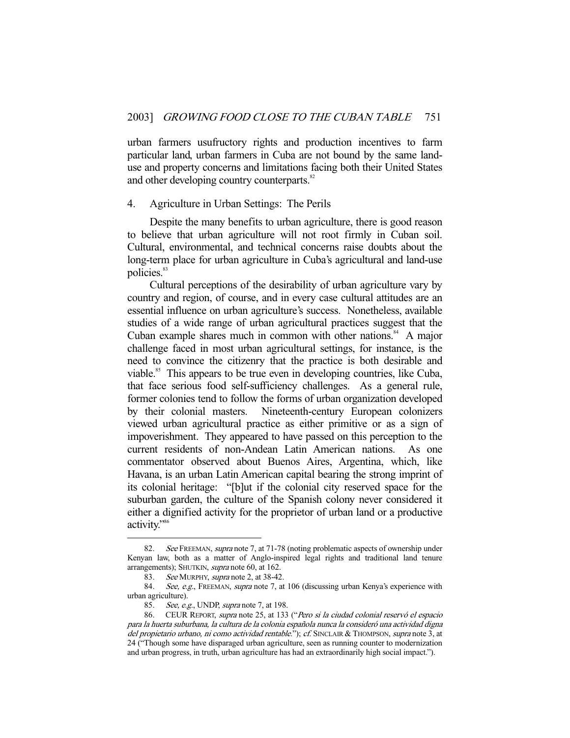urban farmers usufructory rights and production incentives to farm particular land, urban farmers in Cuba are not bound by the same landuse and property concerns and limitations facing both their United States and other developing country counterparts.<sup>82</sup>

#### 4. Agriculture in Urban Settings: The Perils

 Despite the many benefits to urban agriculture, there is good reason to believe that urban agriculture will not root firmly in Cuban soil. Cultural, environmental, and technical concerns raise doubts about the long-term place for urban agriculture in Cuba's agricultural and land-use policies.<sup>83</sup>

 Cultural perceptions of the desirability of urban agriculture vary by country and region, of course, and in every case cultural attitudes are an essential influence on urban agriculture's success. Nonetheless, available studies of a wide range of urban agricultural practices suggest that the Cuban example shares much in common with other nations. $84$  A major challenge faced in most urban agricultural settings, for instance, is the need to convince the citizenry that the practice is both desirable and viable.<sup>85</sup> This appears to be true even in developing countries, like Cuba, that face serious food self-sufficiency challenges. As a general rule, former colonies tend to follow the forms of urban organization developed by their colonial masters. Nineteenth-century European colonizers viewed urban agricultural practice as either primitive or as a sign of impoverishment. They appeared to have passed on this perception to the current residents of non-Andean Latin American nations. As one commentator observed about Buenos Aires, Argentina, which, like Havana, is an urban Latin American capital bearing the strong imprint of its colonial heritage: "[b]ut if the colonial city reserved space for the suburban garden, the culture of the Spanish colony never considered it either a dignified activity for the proprietor of urban land or a productive activity."<sup>86</sup>

<sup>82.</sup> See FREEMAN, supra note 7, at 71-78 (noting problematic aspects of ownership under Kenyan law, both as a matter of Anglo-inspired legal rights and traditional land tenure arrangements); SHUTKIN, supra note 60, at 162.

<sup>83.</sup> See MURPHY, supra note 2, at 38-42.

<sup>84.</sup> See, e.g., FREEMAN, supra note 7, at 106 (discussing urban Kenya's experience with urban agriculture).

<sup>85.</sup> See, e.g., UNDP, supra note 7, at 198.

 <sup>86.</sup> CEUR REPORT, supra note 25, at 133 ("Pero si la ciudad colonial reservó el espacio para la huerta suburbana, la cultura de la colonia española nunca la consideró una actividad digna del propietario urbano, ni como actividad rentable."); cf. SINCLAIR & THOMPSON, supra note 3, at 24 ("Though some have disparaged urban agriculture, seen as running counter to modernization and urban progress, in truth, urban agriculture has had an extraordinarily high social impact.").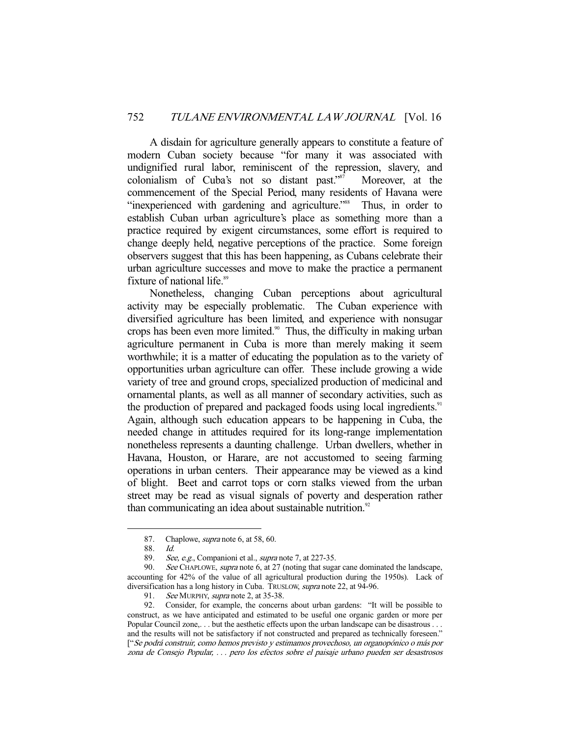A disdain for agriculture generally appears to constitute a feature of modern Cuban society because "for many it was associated with undignified rural labor, reminiscent of the repression, slavery, and colonialism of Cuba's not so distant past."87 Moreover, at the commencement of the Special Period, many residents of Havana were "inexperienced with gardening and agriculture."<sup>88</sup> Thus, in order to establish Cuban urban agriculture's place as something more than a practice required by exigent circumstances, some effort is required to change deeply held, negative perceptions of the practice. Some foreign observers suggest that this has been happening, as Cubans celebrate their urban agriculture successes and move to make the practice a permanent fixture of national life.<sup>89</sup>

 Nonetheless, changing Cuban perceptions about agricultural activity may be especially problematic. The Cuban experience with diversified agriculture has been limited, and experience with nonsugar crops has been even more limited.<sup>90</sup> Thus, the difficulty in making urban agriculture permanent in Cuba is more than merely making it seem worthwhile; it is a matter of educating the population as to the variety of opportunities urban agriculture can offer. These include growing a wide variety of tree and ground crops, specialized production of medicinal and ornamental plants, as well as all manner of secondary activities, such as the production of prepared and packaged foods using local ingredients.<sup>91</sup> Again, although such education appears to be happening in Cuba, the needed change in attitudes required for its long-range implementation nonetheless represents a daunting challenge. Urban dwellers, whether in Havana, Houston, or Harare, are not accustomed to seeing farming operations in urban centers. Their appearance may be viewed as a kind of blight. Beet and carrot tops or corn stalks viewed from the urban street may be read as visual signals of poverty and desperation rather than communicating an idea about sustainable nutrition. $92$ 

 <sup>87.</sup> Chaplowe, supra note 6, at 58, 60.

<sup>88.</sup> *Id.*<br>89. *Se* 

See, e.g., Companioni et al., *supra* note 7, at 227-35.

<sup>90.</sup> See CHAPLOWE, supra note 6, at 27 (noting that sugar cane dominated the landscape, accounting for 42% of the value of all agricultural production during the 1950s). Lack of diversification has a long history in Cuba. TRUSLOW, *supra* note 22, at 94-96.

<sup>91.</sup> See MURPHY, supra note 2, at 35-38.

 <sup>92.</sup> Consider, for example, the concerns about urban gardens: "It will be possible to construct, as we have anticipated and estimated to be useful one organic garden or more per Popular Council zone,... but the aesthetic effects upon the urban landscape can be disastrous ... and the results will not be satisfactory if not constructed and prepared as technically foreseen." ["Se podrá construir, como hemos previsto y estimamos provechoso, un organopónico o más por zona de Consejo Popular, . . . pero los efectos sobre el paisaje urbano pueden ser desastrosos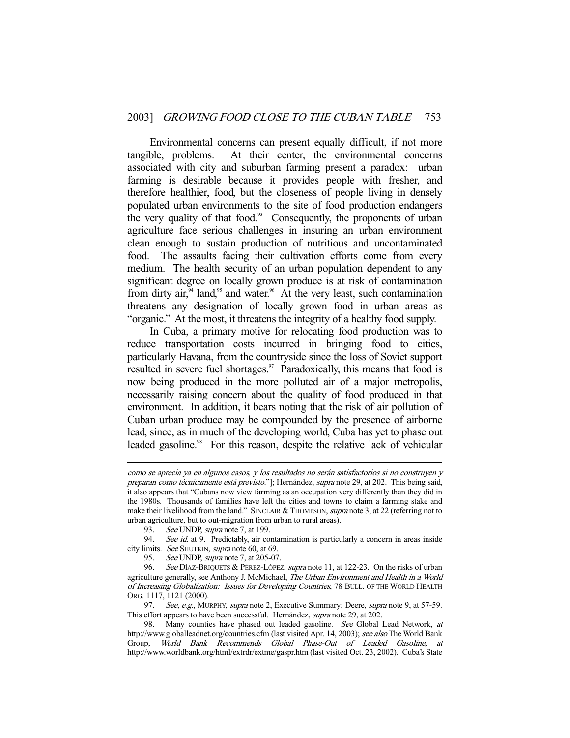Environmental concerns can present equally difficult, if not more tangible, problems. At their center, the environmental concerns associated with city and suburban farming present a paradox: urban farming is desirable because it provides people with fresher, and therefore healthier, food, but the closeness of people living in densely populated urban environments to the site of food production endangers the very quality of that food. $93$  Consequently, the proponents of urban agriculture face serious challenges in insuring an urban environment clean enough to sustain production of nutritious and uncontaminated food. The assaults facing their cultivation efforts come from every medium. The health security of an urban population dependent to any significant degree on locally grown produce is at risk of contamination from dirty air, $\alpha$ <sup>4</sup> land, $\alpha$ <sup>55</sup> and water.<sup>96</sup> At the very least, such contamination threatens any designation of locally grown food in urban areas as "organic." At the most, it threatens the integrity of a healthy food supply.

 In Cuba, a primary motive for relocating food production was to reduce transportation costs incurred in bringing food to cities, particularly Havana, from the countryside since the loss of Soviet support resulted in severe fuel shortages.<sup>97</sup> Paradoxically, this means that food is now being produced in the more polluted air of a major metropolis, necessarily raising concern about the quality of food produced in that environment. In addition, it bears noting that the risk of air pollution of Cuban urban produce may be compounded by the presence of airborne lead, since, as in much of the developing world, Cuba has yet to phase out leaded gasoline.<sup>98</sup> For this reason, despite the relative lack of vehicular

como se aprecia ya en algunos casos, y los resultados no serán satisfactorios si no construyen y preparan como técnicamente está previsto."]; Hernández, supra note 29, at 202. This being said, it also appears that "Cubans now view farming as an occupation very differently than they did in the 1980s. Thousands of families have left the cities and towns to claim a farming stake and make their livelihood from the land." SINCLAIR & THOMPSON, *supra* note 3, at 22 (referring not to urban agriculture, but to out-migration from urban to rural areas).

<sup>93.</sup> See UNDP, supra note 7, at 199.

<sup>94.</sup> See id. at 9. Predictably, air contamination is particularly a concern in areas inside city limits. See SHUTKIN, supra note 60, at 69.

<sup>95.</sup> See UNDP, *supra* note 7, at 205-07.

<sup>96.</sup> See DÍAZ-BRIQUETS & PÉREZ-LÓPEZ, supra note 11, at 122-23. On the risks of urban agriculture generally, see Anthony J. McMichael, The Urban Environment and Health in a World of Increasing Globalization: Issues for Developing Countries, 78 BULL. OF THE WORLD HEALTH ORG. 1117, 1121 (2000).

<sup>97.</sup> See, e.g., MURPHY, supra note 2, Executive Summary; Deere, supra note 9, at 57-59. This effort appears to have been successful. Hernández, supra note 29, at 202.

<sup>98.</sup> Many counties have phased out leaded gasoline. See Global Lead Network, at http://www.globalleadnet.org/countries.cfm (last visited Apr. 14, 2003); see also The World Bank Group, World Bank Recommends Global Phase-Out of Leaded Gasoline, at http://www.worldbank.org/html/extrdr/extme/gaspr.htm (last visited Oct. 23, 2002). Cuba's State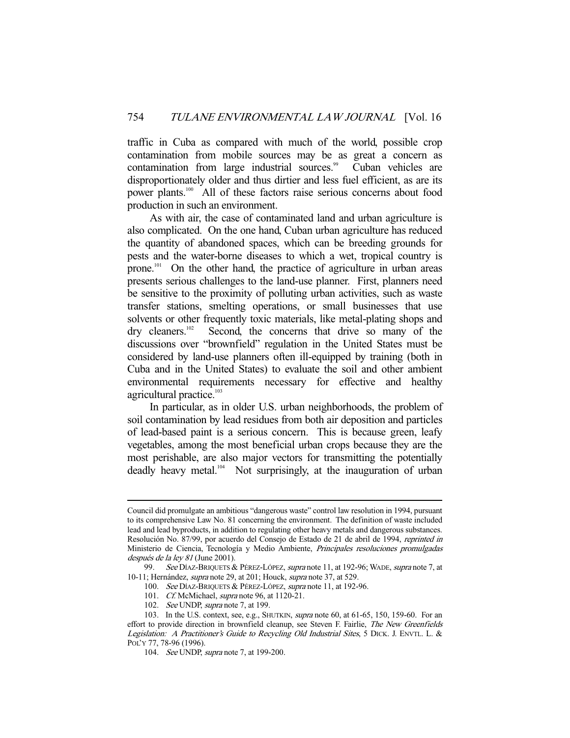traffic in Cuba as compared with much of the world, possible crop contamination from mobile sources may be as great a concern as contamination from large industrial sources.<sup>99</sup> Cuban vehicles are disproportionately older and thus dirtier and less fuel efficient, as are its power plants.100 All of these factors raise serious concerns about food production in such an environment.

 As with air, the case of contaminated land and urban agriculture is also complicated. On the one hand, Cuban urban agriculture has reduced the quantity of abandoned spaces, which can be breeding grounds for pests and the water-borne diseases to which a wet, tropical country is prone.101 On the other hand, the practice of agriculture in urban areas presents serious challenges to the land-use planner. First, planners need be sensitive to the proximity of polluting urban activities, such as waste transfer stations, smelting operations, or small businesses that use solvents or other frequently toxic materials, like metal-plating shops and dry cleaners.<sup>102</sup> Second, the concerns that drive so many of the discussions over "brownfield" regulation in the United States must be considered by land-use planners often ill-equipped by training (both in Cuba and in the United States) to evaluate the soil and other ambient environmental requirements necessary for effective and healthy agricultural practice.<sup>103</sup>

 In particular, as in older U.S. urban neighborhoods, the problem of soil contamination by lead residues from both air deposition and particles of lead-based paint is a serious concern. This is because green, leafy vegetables, among the most beneficial urban crops because they are the most perishable, are also major vectors for transmitting the potentially deadly heavy metal.<sup>104</sup> Not surprisingly, at the inauguration of urban

Council did promulgate an ambitious "dangerous waste" control law resolution in 1994, pursuant to its comprehensive Law No. 81 concerning the environment. The definition of waste included lead and lead byproducts, in addition to regulating other heavy metals and dangerous substances. Resolución No. 87/99, por acuerdo del Consejo de Estado de 21 de abril de 1994, reprinted in Ministerio de Ciencia, Tecnología y Medio Ambiente, Principales resoluciones promulgadas después de la ley 81 (June 2001).

<sup>99.</sup> See DÍAZ-BRIQUETS & PÉREZ-LÓPEZ, supra note 11, at 192-96; WADE, supra note 7, at 10-11; Hernández, supra note 29, at 201; Houck, supra note 37, at 529.

<sup>100.</sup> See DÍAZ-BRIQUETS & PÉREZ-LÓPEZ, supra note 11, at 192-96.

 <sup>101.</sup> Cf. McMichael, supra note 96, at 1120-21.

<sup>102.</sup> See UNDP, supra note 7, at 199.

 <sup>103.</sup> In the U.S. context, see, e.g., SHUTKIN, supra note 60, at 61-65, 150, 159-60. For an effort to provide direction in brownfield cleanup, see Steven F. Fairlie, The New Greenfields Legislation: A Practitioner's Guide to Recycling Old Industrial Sites, 5 DICK. J. ENVTL. L. & POL'Y 77, 78-96 (1996).

<sup>104.</sup> See UNDP, supra note 7, at 199-200.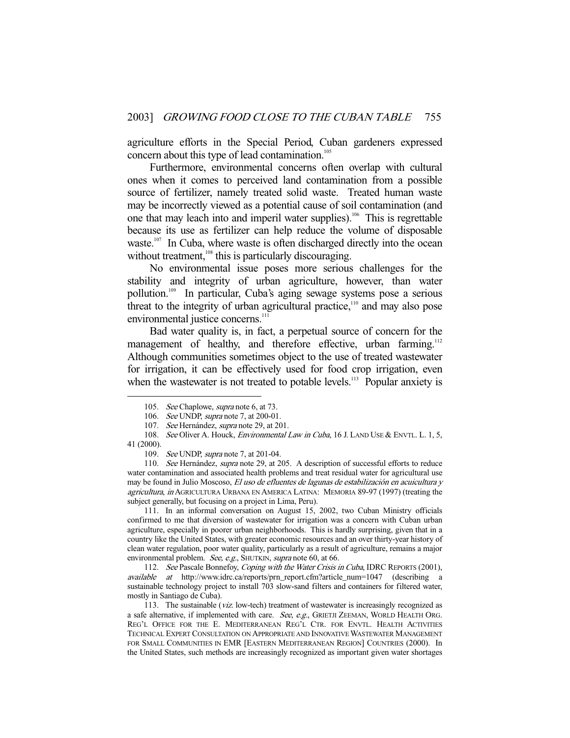agriculture efforts in the Special Period, Cuban gardeners expressed concern about this type of lead contamination.<sup>105</sup>

 Furthermore, environmental concerns often overlap with cultural ones when it comes to perceived land contamination from a possible source of fertilizer, namely treated solid waste. Treated human waste may be incorrectly viewed as a potential cause of soil contamination (and one that may leach into and imperil water supplies).<sup>106</sup> This is regrettable because its use as fertilizer can help reduce the volume of disposable waste.<sup>107</sup> In Cuba, where waste is often discharged directly into the ocean without treatment,<sup>108</sup> this is particularly discouraging.

 No environmental issue poses more serious challenges for the stability and integrity of urban agriculture, however, than water pollution.109 In particular, Cuba's aging sewage systems pose a serious threat to the integrity of urban agricultural practice, $110$  and may also pose environmental justice concerns.<sup>111</sup>

 Bad water quality is, in fact, a perpetual source of concern for the management of healthy, and therefore effective, urban farming.<sup>112</sup> Although communities sometimes object to the use of treated wastewater for irrigation, it can be effectively used for food crop irrigation, even when the wastewater is not treated to potable levels.<sup>113</sup> Popular anxiety is

-

 111. In an informal conversation on August 15, 2002, two Cuban Ministry officials confirmed to me that diversion of wastewater for irrigation was a concern with Cuban urban agriculture, especially in poorer urban neighborhoods. This is hardly surprising, given that in a country like the United States, with greater economic resources and an over thirty-year history of clean water regulation, poor water quality, particularly as a result of agriculture, remains a major environmental problem. See, e.g., SHUTKIN, supra note 60, at 66.

112. See Pascale Bonnefoy, Coping with the Water Crisis in Cuba, IDRC REPORTS (2001), available at http://www.idrc.ca/reports/prn\_report.cfm?article\_num=1047 (describing a sustainable technology project to install 703 slow-sand filters and containers for filtered water, mostly in Santiago de Cuba).

<sup>105.</sup> See Chaplowe, *supra* note 6, at 73.

<sup>106.</sup> See UNDP, supra note 7, at 200-01.

<sup>107.</sup> See Hernández, supra note 29, at 201.

<sup>108.</sup> See Oliver A. Houck, *Environmental Law in Cuba*, 16 J. LAND USE & ENVTL. L. 1, 5, 41 (2000).

<sup>109.</sup> See UNDP, *supra* note 7, at 201-04.

<sup>110.</sup> See Hernández, supra note 29, at 205. A description of successful efforts to reduce water contamination and associated health problems and treat residual water for agricultural use may be found in Julio Moscoso, El uso de efluentes de lagunas de estabilización en acuicultura y agricultura, in AGRICULTURA URBANA EN AMERICA LATINA: MEMORIA 89-97 (1997) (treating the subject generally, but focusing on a project in Lima, Peru).

 <sup>113.</sup> The sustainable (viz. low-tech) treatment of wastewater is increasingly recognized as a safe alternative, if implemented with care. See, e.g., GRIETJI ZEEMAN, WORLD HEALTH ORG. REG'L OFFICE FOR THE E. MEDITERRANEAN REG'L CTR. FOR ENVTL. HEALTH ACTIVITIES TECHNICAL EXPERT CONSULTATION ON APPROPRIATE AND INNOVATIVE WASTEWATER MANAGEMENT FOR SMALL COMMUNITIES IN EMR [EASTERN MEDITERRANEAN REGION] COUNTRIES (2000). In the United States, such methods are increasingly recognized as important given water shortages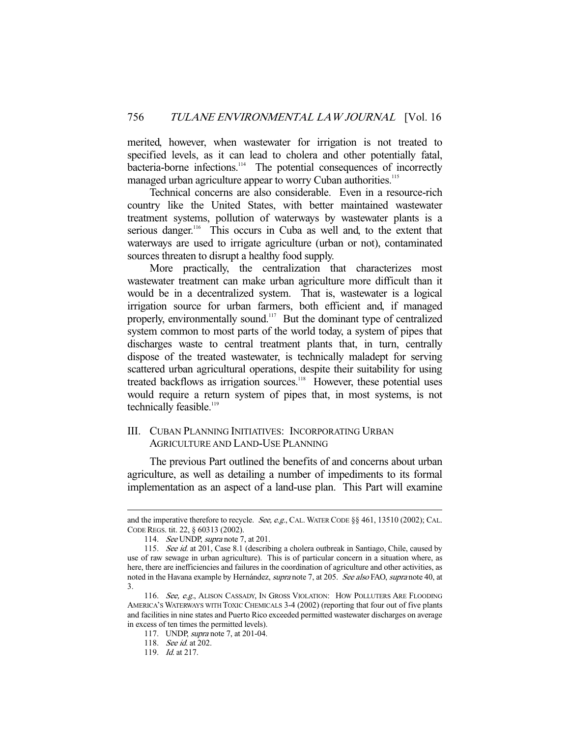merited, however, when wastewater for irrigation is not treated to specified levels, as it can lead to cholera and other potentially fatal, bacteria-borne infections.<sup>114</sup> The potential consequences of incorrectly managed urban agriculture appear to worry Cuban authorities.<sup>115</sup>

 Technical concerns are also considerable. Even in a resource-rich country like the United States, with better maintained wastewater treatment systems, pollution of waterways by wastewater plants is a serious danger.<sup>116</sup> This occurs in Cuba as well and, to the extent that waterways are used to irrigate agriculture (urban or not), contaminated sources threaten to disrupt a healthy food supply.

 More practically, the centralization that characterizes most wastewater treatment can make urban agriculture more difficult than it would be in a decentralized system. That is, wastewater is a logical irrigation source for urban farmers, both efficient and, if managed properly, environmentally sound.117 But the dominant type of centralized system common to most parts of the world today, a system of pipes that discharges waste to central treatment plants that, in turn, centrally dispose of the treated wastewater, is technically maladept for serving scattered urban agricultural operations, despite their suitability for using treated backflows as irrigation sources.<sup>118</sup> However, these potential uses would require a return system of pipes that, in most systems, is not technically feasible.<sup>119</sup>

# III. CUBAN PLANNING INITIATIVES: INCORPORATING URBAN AGRICULTURE AND LAND-USE PLANNING

 The previous Part outlined the benefits of and concerns about urban agriculture, as well as detailing a number of impediments to its formal implementation as an aspect of a land-use plan. This Part will examine

and the imperative therefore to recycle. See, e.g., CAL. WATER CODE §§ 461, 13510 (2002); CAL. CODE REGS. tit. 22, § 60313 (2002).

<sup>114.</sup> See UNDP, supra note 7, at 201.

<sup>115.</sup> See id. at 201, Case 8.1 (describing a cholera outbreak in Santiago, Chile, caused by use of raw sewage in urban agriculture). This is of particular concern in a situation where, as here, there are inefficiencies and failures in the coordination of agriculture and other activities, as noted in the Havana example by Hernández, *supra* note 7, at 205. See also FAO, supra note 40, at 3.

<sup>116.</sup> See, e.g., ALISON CASSADY, IN GROSS VIOLATION: HOW POLLUTERS ARE FLOODING AMERICA'S WATERWAYS WITH TOXIC CHEMICALS 3-4 (2002) (reporting that four out of five plants and facilities in nine states and Puerto Rico exceeded permitted wastewater discharges on average in excess of ten times the permitted levels).

 <sup>117.</sup> UNDP, supra note 7, at 201-04.

 <sup>118.</sup> See id. at 202.

 <sup>119.</sup> Id. at 217.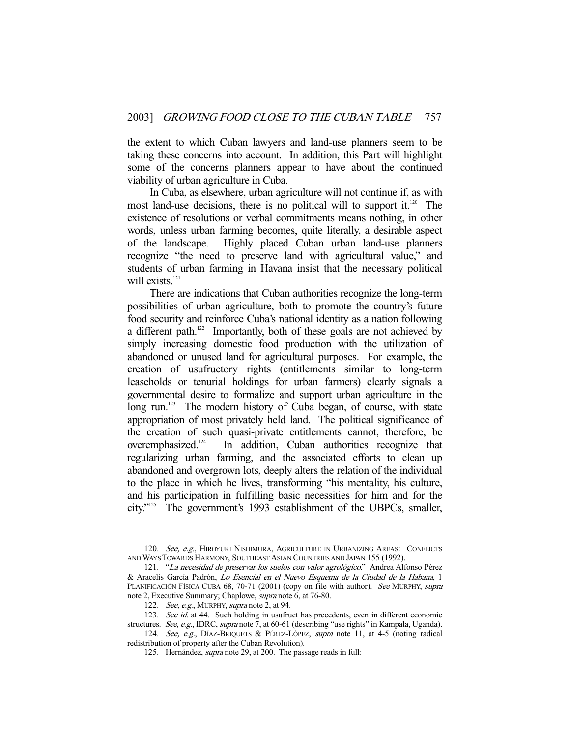the extent to which Cuban lawyers and land-use planners seem to be taking these concerns into account. In addition, this Part will highlight some of the concerns planners appear to have about the continued viability of urban agriculture in Cuba.

 In Cuba, as elsewhere, urban agriculture will not continue if, as with most land-use decisions, there is no political will to support it.<sup>120</sup> The existence of resolutions or verbal commitments means nothing, in other words, unless urban farming becomes, quite literally, a desirable aspect of the landscape. Highly placed Cuban urban land-use planners recognize "the need to preserve land with agricultural value," and students of urban farming in Havana insist that the necessary political will exists.<sup>121</sup>

 There are indications that Cuban authorities recognize the long-term possibilities of urban agriculture, both to promote the country's future food security and reinforce Cuba's national identity as a nation following a different path.<sup>122</sup> Importantly, both of these goals are not achieved by simply increasing domestic food production with the utilization of abandoned or unused land for agricultural purposes. For example, the creation of usufructory rights (entitlements similar to long-term leaseholds or tenurial holdings for urban farmers) clearly signals a governmental desire to formalize and support urban agriculture in the long run.<sup>123</sup> The modern history of Cuba began, of course, with state appropriation of most privately held land. The political significance of the creation of such quasi-private entitlements cannot, therefore, be overemphasized.124 In addition, Cuban authorities recognize that regularizing urban farming, and the associated efforts to clean up abandoned and overgrown lots, deeply alters the relation of the individual to the place in which he lives, transforming "his mentality, his culture, and his participation in fulfilling basic necessities for him and for the city."125 The government's 1993 establishment of the UBPCs, smaller,

<sup>120.</sup> See, e.g., HIROYUKI NISHIMURA, AGRICULTURE IN URBANIZING AREAS: CONFLICTS AND WAYS TOWARDS HARMONY, SOUTHEAST ASIAN COUNTRIES AND JAPAN 155 (1992).

<sup>121. &</sup>quot;La necesidad de preservar los suelos con valor agrológico." Andrea Alfonso Pérez & Aracelis García Padrón, Lo Esencial en el Nuevo Esquema de la Ciudad de la Habana, 1 PLANIFICACIÓN FÍSICA CUBA 68, 70-71 (2001) (copy on file with author). See MURPHY, supra note 2, Executive Summary; Chaplowe, supra note 6, at 76-80.

<sup>122.</sup> See, e.g., MURPHY, supra note 2, at 94.

<sup>123.</sup> See id. at 44. Such holding in usufruct has precedents, even in different economic structures. See, e.g., IDRC, supra note 7, at 60-61 (describing "use rights" in Kampala, Uganda).

<sup>124.</sup> See, e.g., DÍAZ-BRIQUETS & PÉREZ-LÓPEZ, supra note 11, at 4-5 (noting radical redistribution of property after the Cuban Revolution).

 <sup>125.</sup> Hernández, supra note 29, at 200. The passage reads in full: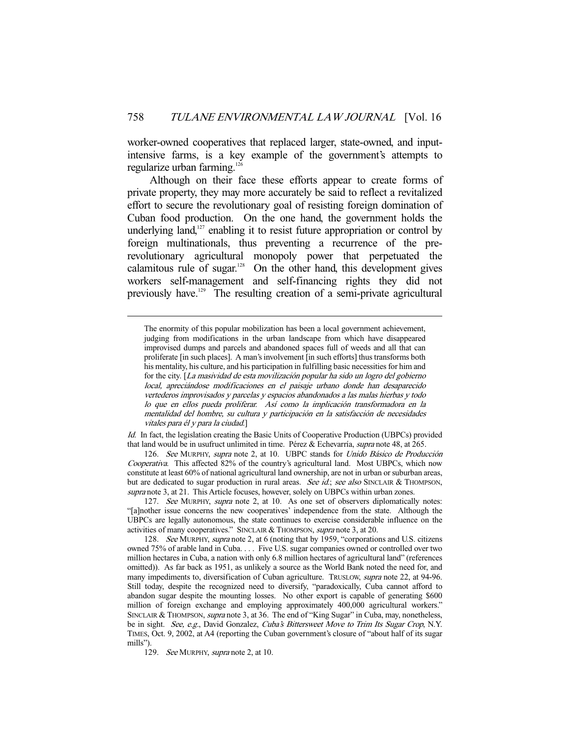worker-owned cooperatives that replaced larger, state-owned, and inputintensive farms, is a key example of the government's attempts to regularize urban farming.<sup>126</sup>

 Although on their face these efforts appear to create forms of private property, they may more accurately be said to reflect a revitalized effort to secure the revolutionary goal of resisting foreign domination of Cuban food production. On the one hand, the government holds the underlying land, $127$  enabling it to resist future appropriation or control by foreign multinationals, thus preventing a recurrence of the prerevolutionary agricultural monopoly power that perpetuated the calamitous rule of sugar. $128$  On the other hand, this development gives workers self-management and self-financing rights they did not previously have.129 The resulting creation of a semi-private agricultural

Id. In fact, the legislation creating the Basic Units of Cooperative Production (UBPCs) provided that land would be in usufruct unlimited in time. Pérez & Echevarría, *supra* note 48, at 265.

 126. See MURPHY, supra note 2, at 10. UBPC stands for Unido Básico de Producción Cooperativa. This affected 82% of the country's agricultural land. Most UBPCs, which now constitute at least 60% of national agricultural land ownership, are not in urban or suburban areas, but are dedicated to sugar production in rural areas. See id.; see also SINCLAIR & THOMPSON, supra note 3, at 21. This Article focuses, however, solely on UBPCs within urban zones.

127. See MURPHY, supra note 2, at 10. As one set of observers diplomatically notes: "[a]nother issue concerns the new cooperatives' independence from the state. Although the UBPCs are legally autonomous, the state continues to exercise considerable influence on the activities of many cooperatives." SINCLAIR & THOMPSON, supra note 3, at 20.

 128. See MURPHY, supra note 2, at 6 (noting that by 1959, "corporations and U.S. citizens owned 75% of arable land in Cuba. . . . Five U.S. sugar companies owned or controlled over two million hectares in Cuba, a nation with only 6.8 million hectares of agricultural land" (references omitted)). As far back as 1951, as unlikely a source as the World Bank noted the need for, and many impediments to, diversification of Cuban agriculture. TRUSLOW, *supra* note 22, at 94-96. Still today, despite the recognized need to diversify, "paradoxically, Cuba cannot afford to abandon sugar despite the mounting losses. No other export is capable of generating \$600 million of foreign exchange and employing approximately 400,000 agricultural workers." SINCLAIR & THOMPSON, supra note 3, at 36. The end of "King Sugar" in Cuba, may, nonetheless, be in sight. See, e.g., David Gonzalez, Cuba's Bittersweet Move to Trim Its Sugar Crop, N.Y. TIMES, Oct. 9, 2002, at A4 (reporting the Cuban government's closure of "about half of its sugar mills").

129. See MURPHY, supra note 2, at 10.

The enormity of this popular mobilization has been a local government achievement, judging from modifications in the urban landscape from which have disappeared improvised dumps and parcels and abandoned spaces full of weeds and all that can proliferate [in such places]. A man's involvement [in such efforts] thus transforms both his mentality, his culture, and his participation in fulfilling basic necessities for him and for the city. [La masividad de esta movilización popular ha sido un logro del gobierno local, apreciándose modificaciones en el paisaje urbano donde han desaparecido vertederos improvisados y parcelas y espacios abandonados a las malas hierbas y todo lo que en ellos pueda proliferar. Así como la implicación transformadora en la mentalidad del hombre, su cultura y participación en la satisfacción de necesidades vitales para él y para la ciudad.]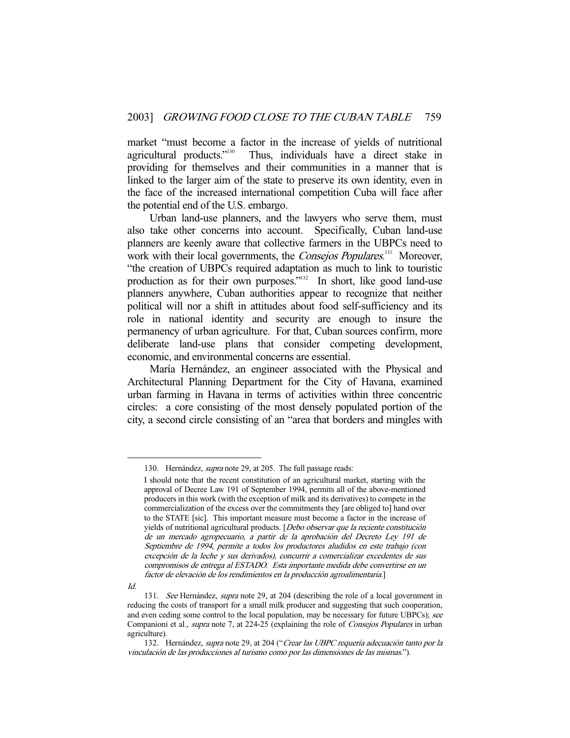market "must become a factor in the increase of yields of nutritional agricultural products."<sup>130</sup> Thus, individuals have a direct stake in Thus, individuals have a direct stake in providing for themselves and their communities in a manner that is linked to the larger aim of the state to preserve its own identity, even in the face of the increased international competition Cuba will face after the potential end of the U.S. embargo.

 Urban land-use planners, and the lawyers who serve them, must also take other concerns into account. Specifically, Cuban land-use planners are keenly aware that collective farmers in the UBPCs need to work with their local governments, the *Consejos Populares*.<sup>131</sup> Moreover, "the creation of UBPCs required adaptation as much to link to touristic production as for their own purposes."<sup>132</sup> In short, like good land-use planners anywhere, Cuban authorities appear to recognize that neither political will nor a shift in attitudes about food self-sufficiency and its role in national identity and security are enough to insure the permanency of urban agriculture. For that, Cuban sources confirm, more deliberate land-use plans that consider competing development, economic, and environmental concerns are essential.

 María Hernández, an engineer associated with the Physical and Architectural Planning Department for the City of Havana, examined urban farming in Havana in terms of activities within three concentric circles: a core consisting of the most densely populated portion of the city, a second circle consisting of an "area that borders and mingles with

 <sup>130.</sup> Hernández, supra note 29, at 205. The full passage reads:

I should note that the recent constitution of an agricultural market, starting with the approval of Decree Law 191 of September 1994, permits all of the above-mentioned producers in this work (with the exception of milk and its derivatives) to compete in the commercialization of the excess over the commitments they [are obliged to] hand over to the STATE [sic]. This important measure must become a factor in the increase of yields of nutritional agricultural products. [Debo observar que la reciente constitución de un mercado agropecuario, a partir de la aprobación del Decreto Ley 191 de Septiembre de 1994, permite a todos los productores aludidos en este trabajo (con excepción de la leche y sus derivados), concurrir a comercializar excedentes de sus compromisos de entrega al ESTADO. Esta importante medida debe convertirse en un factor de elevación de los rendimientos en la producción agroalimentaria.]

Id.

<sup>131.</sup> See Hernández, *supra* note 29, at 204 (describing the role of a local government in reducing the costs of transport for a small milk producer and suggesting that such cooperation, and even ceding some control to the local population, may be necessary for future UBPCs); see Companioni et al., *supra* note 7, at 224-25 (explaining the role of *Consejos Populares* in urban agriculture).

<sup>132.</sup> Hernández, supra note 29, at 204 ("Crear las UBPC requería adecuación tanto por la vinculación de las producciones al turismo como por las dimensiones de las mismas.").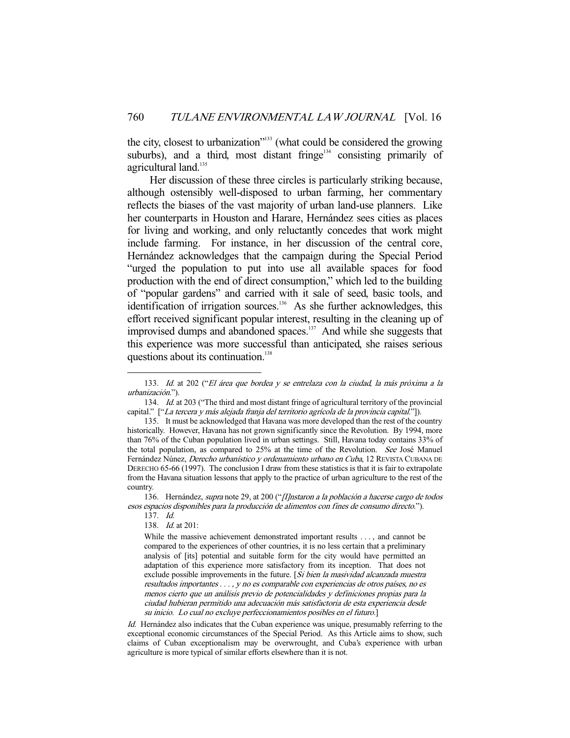the city, closest to urbanization"133 (what could be considered the growing suburbs), and a third, most distant fringe<sup>134</sup> consisting primarily of agricultural land.<sup>135</sup>

 Her discussion of these three circles is particularly striking because, although ostensibly well-disposed to urban farming, her commentary reflects the biases of the vast majority of urban land-use planners. Like her counterparts in Houston and Harare, Hernández sees cities as places for living and working, and only reluctantly concedes that work might include farming. For instance, in her discussion of the central core, Hernández acknowledges that the campaign during the Special Period "urged the population to put into use all available spaces for food production with the end of direct consumption," which led to the building of "popular gardens" and carried with it sale of seed, basic tools, and identification of irrigation sources.<sup>136</sup> As she further acknowledges, this effort received significant popular interest, resulting in the cleaning up of improvised dumps and abandoned spaces.<sup>137</sup> And while she suggests that this experience was more successful than anticipated, she raises serious questions about its continuation.<sup>138</sup>

-

Id. Hernández also indicates that the Cuban experience was unique, presumably referring to the exceptional economic circumstances of the Special Period. As this Article aims to show, such claims of Cuban exceptionalism may be overwrought, and Cuba's experience with urban agriculture is more typical of similar efforts elsewhere than it is not.

 <sup>133.</sup> Id. at 202 ("El área que bordea y se entrelaza con la ciudad, la más próxima a la urbanización.").

<sup>134.</sup> *Id.* at 203 ("The third and most distant fringe of agricultural territory of the provincial capital." ["La tercera y más alejada franja del territorio agrícola de la provincia capital."]).

 <sup>135.</sup> It must be acknowledged that Havana was more developed than the rest of the country historically. However, Havana has not grown significantly since the Revolution. By 1994, more than 76% of the Cuban population lived in urban settings. Still, Havana today contains 33% of the total population, as compared to 25% at the time of the Revolution. See José Manuel Fernández Núnez, Derecho urbanístico y ordenamiento urbano en Cuba, 12 REVISTA CUBANA DE DERECHO 65-66 (1997). The conclusion I draw from these statistics is that it is fair to extrapolate from the Havana situation lessons that apply to the practice of urban agriculture to the rest of the country.

<sup>136.</sup> Hernández, supra note 29, at 200 ("[I]nstaron a la población a hacerse cargo de todos esos espacios disponibles para la producción de alimentos con fines de consumo directo.").

 <sup>137.</sup> Id.

 <sup>138.</sup> Id. at 201:

While the massive achievement demonstrated important results . . . , and cannot be compared to the experiences of other countries, it is no less certain that a preliminary analysis of [its] potential and suitable form for the city would have permitted an adaptation of this experience more satisfactory from its inception. That does not exclude possible improvements in the future. [Si bien la masividad alcanzada muestra resultados importantes . . . , y no es comparable con experiencias de otros países, no es menos cierto que un análisis previo de potencialidades y definiciones propias para la ciudad hubieran permitido una adecuación más satisfactoria de esta experiencia desde su inicio. Lo cual no excluye perfeccionamientos posibles en el futuro.]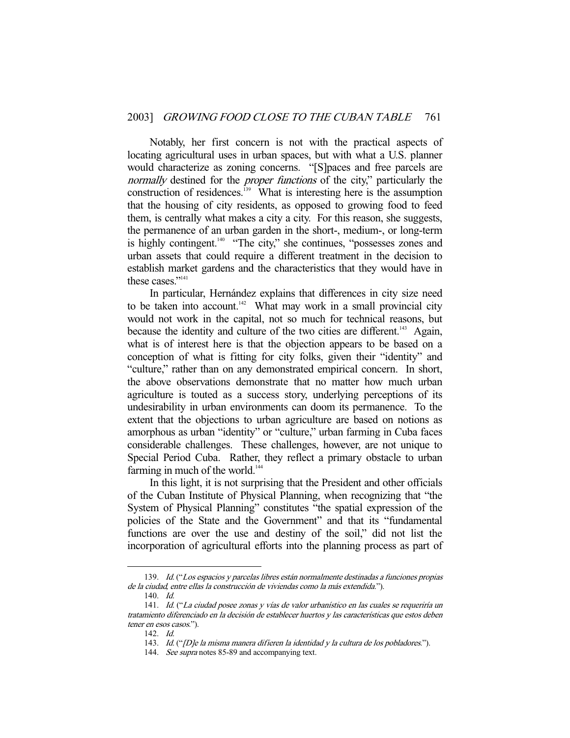Notably, her first concern is not with the practical aspects of locating agricultural uses in urban spaces, but with what a U.S. planner would characterize as zoning concerns. "[S]paces and free parcels are normally destined for the *proper functions* of the city," particularly the construction of residences.<sup>139</sup> What is interesting here is the assumption that the housing of city residents, as opposed to growing food to feed them, is centrally what makes a city a city. For this reason, she suggests, the permanence of an urban garden in the short-, medium-, or long-term is highly contingent.<sup>140</sup> "The city," she continues, "possesses zones and urban assets that could require a different treatment in the decision to establish market gardens and the characteristics that they would have in these cases<sup>"141</sup>

 In particular, Hernández explains that differences in city size need to be taken into account.<sup>142</sup> What may work in a small provincial city would not work in the capital, not so much for technical reasons, but because the identity and culture of the two cities are different.<sup>143</sup> Again, what is of interest here is that the objection appears to be based on a conception of what is fitting for city folks, given their "identity" and "culture," rather than on any demonstrated empirical concern. In short, the above observations demonstrate that no matter how much urban agriculture is touted as a success story, underlying perceptions of its undesirability in urban environments can doom its permanence. To the extent that the objections to urban agriculture are based on notions as amorphous as urban "identity" or "culture," urban farming in Cuba faces considerable challenges. These challenges, however, are not unique to Special Period Cuba. Rather, they reflect a primary obstacle to urban farming in much of the world.<sup>144</sup>

 In this light, it is not surprising that the President and other officials of the Cuban Institute of Physical Planning, when recognizing that "the System of Physical Planning" constitutes "the spatial expression of the policies of the State and the Government" and that its "fundamental functions are over the use and destiny of the soil," did not list the incorporation of agricultural efforts into the planning process as part of

 <sup>139.</sup> Id. ("Los espacios y parcelas libres están normalmente destinadas a funciones propias de la ciudad, entre ellas la construcción de viviendas como la más extendida.").

 <sup>140.</sup> Id.

 <sup>141.</sup> Id. ("La ciudad posee zonas y vías de valor urbanístico en las cuales se requeriría un tratamiento diferenciado en la decisión de establecer huertos y las características que estos deben tener en esos casos.").

 <sup>142.</sup> Id.

 <sup>143.</sup> Id. ("[D]e la misma manera difieren la identidad y la cultura de los pobladores.").

<sup>144.</sup> See supra notes 85-89 and accompanying text.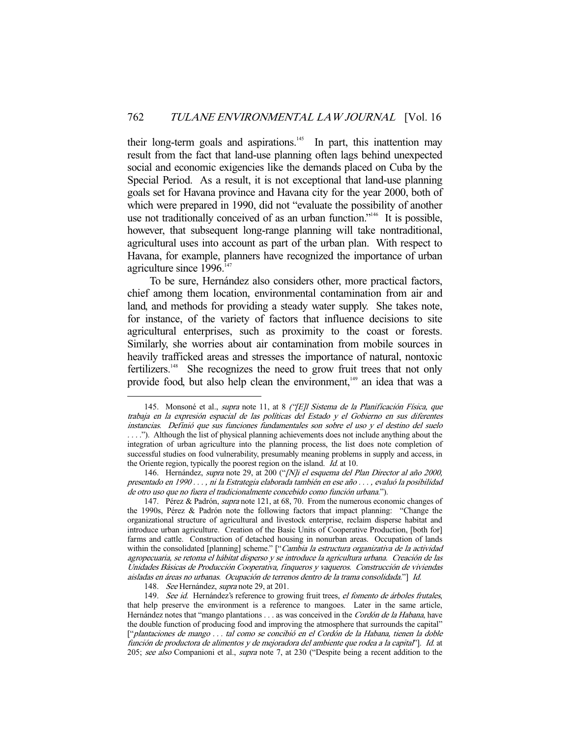their long-term goals and aspirations.<sup>145</sup> In part, this inattention may result from the fact that land-use planning often lags behind unexpected social and economic exigencies like the demands placed on Cuba by the Special Period. As a result, it is not exceptional that land-use planning goals set for Havana province and Havana city for the year 2000, both of which were prepared in 1990, did not "evaluate the possibility of another use not traditionally conceived of as an urban function."<sup>146</sup> It is possible, however, that subsequent long-range planning will take nontraditional, agricultural uses into account as part of the urban plan. With respect to Havana, for example, planners have recognized the importance of urban agriculture since  $1996$ <sup>147</sup>

 To be sure, Hernández also considers other, more practical factors, chief among them location, environmental contamination from air and land, and methods for providing a steady water supply. She takes note, for instance, of the variety of factors that influence decisions to site agricultural enterprises, such as proximity to the coast or forests. Similarly, she worries about air contamination from mobile sources in heavily trafficked areas and stresses the importance of natural, nontoxic fertilizers.<sup>148</sup> She recognizes the need to grow fruit trees that not only provide food, but also help clean the environment,<sup>149</sup> an idea that was a

148. See Hernández, supra note 29, at 201.

<sup>145.</sup> Monsoné et al., *supra* note 11, at 8 ("[E]l Sistema de la Planificación Física, que trabaja en la expresión espacial de las políticas del Estado y el Gobierno en sus diferentes instancias. Definió que sus funciones fundamentales son sobre el uso y el destino del suelo . . . ."). Although the list of physical planning achievements does not include anything about the integration of urban agriculture into the planning process, the list does note completion of successful studies on food vulnerability, presumably meaning problems in supply and access, in the Oriente region, typically the poorest region on the island. Id. at 10.

<sup>146.</sup> Hernández, supra note 29, at 200 ("[N]i el esquema del Plan Director al año 2000, presentado en 1990 . . . , ni la Estrategia elaborada también en ese año . . . , evaluó la posibilidad de otro uso que no fuera el tradicionalmente concebido como función urbana.").

<sup>147.</sup> Pérez & Padrón, *supra* note 121, at 68, 70. From the numerous economic changes of the 1990s, Pérez & Padrón note the following factors that impact planning: "Change the organizational structure of agricultural and livestock enterprise, reclaim disperse habitat and introduce urban agriculture. Creation of the Basic Units of Cooperative Production, [both for] farms and cattle. Construction of detached housing in nonurban areas. Occupation of lands within the consolidated [planning] scheme." ["Cambia la estructura organizativa de la actividad agropecuaria, se retoma el hábitat disperso y se introduce la agricultura urbana. Creación de las Unidades Básicas de Producción Cooperativa, finqueros y vaqueros. Construcción de viviendas aisladas en áreas no urbanas. Ocupación de terrenos dentro de la trama consolidada."] Id.

<sup>149.</sup> See id. Hernández's reference to growing fruit trees, el fomento de árboles frutales, that help preserve the environment is a reference to mangoes. Later in the same article, Hernández notes that "mango plantations . . . as was conceived in the Cordón de la Habana, have the double function of producing food and improving the atmosphere that surrounds the capital" ["plantaciones de mango . . . tal como se concibió en el Cordón de la Habana, tienen la doble función de productora de alimentos y de mejoradora del ambiente que rodea a la capital"]. Id. at 205; see also Companioni et al., supra note 7, at 230 ("Despite being a recent addition to the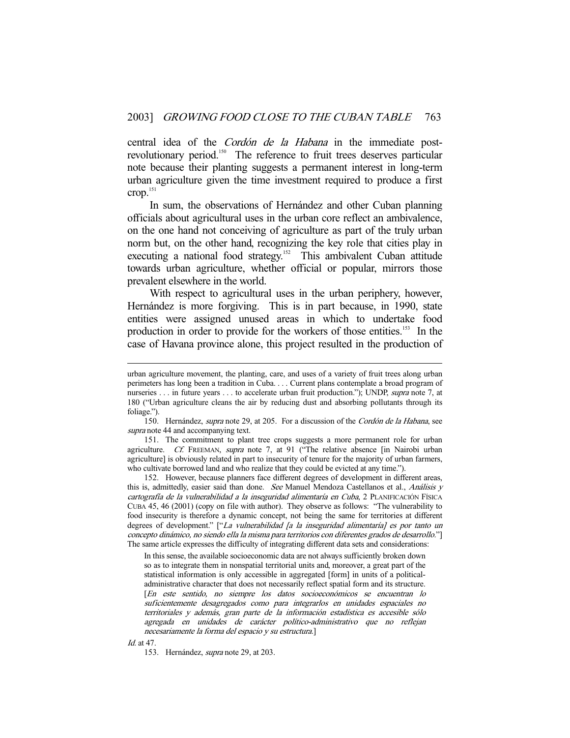central idea of the Cordón de la Habana in the immediate postrevolutionary period.<sup>150</sup> The reference to fruit trees deserves particular note because their planting suggests a permanent interest in long-term urban agriculture given the time investment required to produce a first crop.<sup>151</sup>

 In sum, the observations of Hernández and other Cuban planning officials about agricultural uses in the urban core reflect an ambivalence, on the one hand not conceiving of agriculture as part of the truly urban norm but, on the other hand, recognizing the key role that cities play in executing a national food strategy.<sup>152</sup> This ambivalent Cuban attitude towards urban agriculture, whether official or popular, mirrors those prevalent elsewhere in the world.

 With respect to agricultural uses in the urban periphery, however, Hernández is more forgiving. This is in part because, in 1990, state entities were assigned unused areas in which to undertake food production in order to provide for the workers of those entities.<sup>153</sup> In the case of Havana province alone, this project resulted in the production of

150. Hernández, *supra* note 29, at 205. For a discussion of the *Cordón de la Habana*, see supra note 44 and accompanying text.

 151. The commitment to plant tree crops suggests a more permanent role for urban agriculture. Cf. FREEMAN, supra note 7, at 91 ("The relative absence [in Nairobi urban agriculture] is obviously related in part to insecurity of tenure for the majority of urban farmers, who cultivate borrowed land and who realize that they could be evicted at any time.").

 152. However, because planners face different degrees of development in different areas, this is, admittedly, easier said than done. See Manuel Mendoza Castellanos et al., Análisis y cartografía de la vulnerabilidad a la inseguridad alimentaría en Cuba, 2 PLANIFICACIÓN FÍSICA CUBA 45, 46 (2001) (copy on file with author). They observe as follows: "The vulnerability to food insecurity is therefore a dynamic concept, not being the same for territories at different degrees of development." ["La vulnerabilidad [a la inseguridad alimentaría] es por tanto un concepto dinámico, no siendo ella la misma para territorios con diferentes grados de desarrollo."] The same article expresses the difficulty of integrating different data sets and considerations:

In this sense, the available socioeconomic data are not always sufficiently broken down so as to integrate them in nonspatial territorial units and, moreover, a great part of the statistical information is only accessible in aggregated [form] in units of a politicaladministrative character that does not necessarily reflect spatial form and its structure. [En este sentido, no siempre los datos socioeconómicos se encuentran lo suficientemente desagregados como para integrarlos en unidades espaciales no territoriales y además, gran parte de la información estadística es accesible sólo agregada en unidades de carácter político-administrativo que no reflejan necesariamente la forma del espacio y su estructura.]

Id. at 47.

-

153. Hernández, supra note 29, at 203.

urban agriculture movement, the planting, care, and uses of a variety of fruit trees along urban perimeters has long been a tradition in Cuba. . . . Current plans contemplate a broad program of nurseries . . . in future years . . . to accelerate urban fruit production."); UNDP, *supra* note 7, at 180 ("Urban agriculture cleans the air by reducing dust and absorbing pollutants through its foliage.").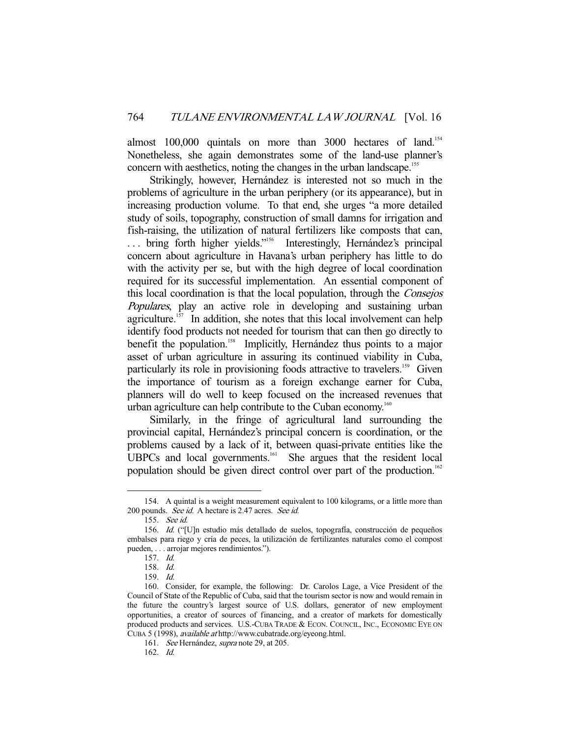almost 100,000 quintals on more than 3000 hectares of land.<sup>154</sup> Nonetheless, she again demonstrates some of the land-use planner's concern with aesthetics, noting the changes in the urban landscape.<sup>155</sup>

 Strikingly, however, Hernández is interested not so much in the problems of agriculture in the urban periphery (or its appearance), but in increasing production volume. To that end, she urges "a more detailed study of soils, topography, construction of small damns for irrigation and fish-raising, the utilization of natural fertilizers like composts that can, ... bring forth higher yields."<sup>156</sup> Interestingly, Hernández's principal concern about agriculture in Havana's urban periphery has little to do with the activity per se, but with the high degree of local coordination required for its successful implementation. An essential component of this local coordination is that the local population, through the Consejos Populares, play an active role in developing and sustaining urban agriculture.<sup>157</sup> In addition, she notes that this local involvement can help identify food products not needed for tourism that can then go directly to benefit the population.<sup>158</sup> Implicitly, Hernández thus points to a major asset of urban agriculture in assuring its continued viability in Cuba, particularly its role in provisioning foods attractive to travelers.<sup>159</sup> Given the importance of tourism as a foreign exchange earner for Cuba, planners will do well to keep focused on the increased revenues that urban agriculture can help contribute to the Cuban economy.<sup>160</sup>

 Similarly, in the fringe of agricultural land surrounding the provincial capital, Hernández's principal concern is coordination, or the problems caused by a lack of it, between quasi-private entities like the UBPCs and local governments.<sup>161</sup> She argues that the resident local population should be given direct control over part of the production.<sup>162</sup>

 <sup>154.</sup> A quintal is a weight measurement equivalent to 100 kilograms, or a little more than 200 pounds. See id. A hectare is 2.47 acres. See id.

 <sup>155.</sup> See id.

 <sup>156.</sup> Id. ("[U]n estudio más detallado de suelos, topografía, construcción de pequeños embalses para riego y cría de peces, la utilización de fertilizantes naturales como el compost pueden, . . . arrojar mejores rendimientos.").

 <sup>157.</sup> Id.

 <sup>158.</sup> Id.

 <sup>159.</sup> Id.

 <sup>160.</sup> Consider, for example, the following: Dr. Carolos Lage, a Vice President of the Council of State of the Republic of Cuba, said that the tourism sector is now and would remain in the future the country's largest source of U.S. dollars, generator of new employment opportunities, a creator of sources of financing, and a creator of markets for domestically produced products and services. U.S.-CUBA TRADE & ECON. COUNCIL, INC., ECONOMIC EYE ON CUBA 5 (1998), available at http://www.cubatrade.org/eyeong.html.

<sup>161.</sup> See Hernández, supra note 29, at 205.

 <sup>162.</sup> Id.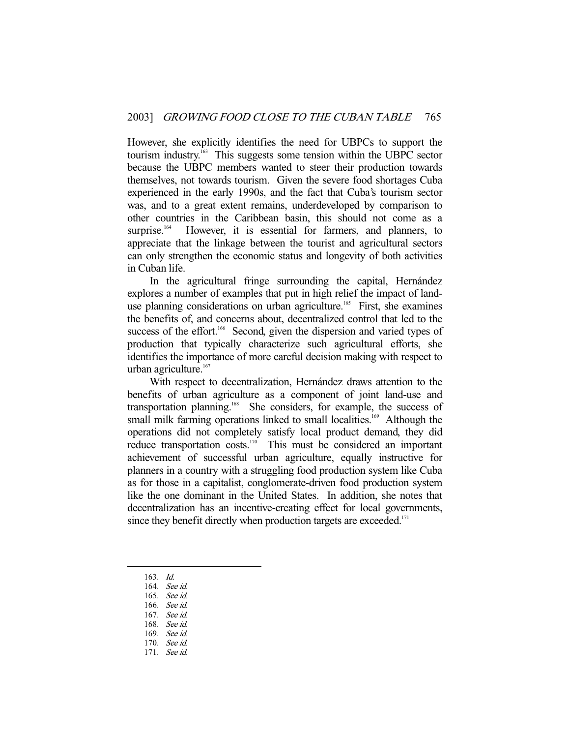However, she explicitly identifies the need for UBPCs to support the tourism industry.163 This suggests some tension within the UBPC sector because the UBPC members wanted to steer their production towards themselves, not towards tourism. Given the severe food shortages Cuba experienced in the early 1990s, and the fact that Cuba's tourism sector was, and to a great extent remains, underdeveloped by comparison to other countries in the Caribbean basin, this should not come as a surprise.<sup>164</sup> However, it is essential for farmers, and planners, to appreciate that the linkage between the tourist and agricultural sectors can only strengthen the economic status and longevity of both activities in Cuban life.

 In the agricultural fringe surrounding the capital, Hernández explores a number of examples that put in high relief the impact of landuse planning considerations on urban agriculture.<sup>165</sup> First, she examines the benefits of, and concerns about, decentralized control that led to the success of the effort.<sup>166</sup> Second, given the dispersion and varied types of production that typically characterize such agricultural efforts, she identifies the importance of more careful decision making with respect to urban agriculture.<sup>167</sup>

 With respect to decentralization, Hernández draws attention to the benefits of urban agriculture as a component of joint land-use and transportation planning.<sup>168</sup> She considers, for example, the success of small milk farming operations linked to small localities.<sup>169</sup> Although the operations did not completely satisfy local product demand, they did reduce transportation costs.<sup>170</sup> This must be considered an important achievement of successful urban agriculture, equally instructive for planners in a country with a struggling food production system like Cuba as for those in a capitalist, conglomerate-driven food production system like the one dominant in the United States. In addition, she notes that decentralization has an incentive-creating effect for local governments, since they benefit directly when production targets are exceeded.<sup>171</sup>

163. Id.

- 164. See id.
- 165. See id.
- 166. See id.
- 167. See id.
- 168. See id.
- 169. See id.
- 170. See id.
- 171. See id.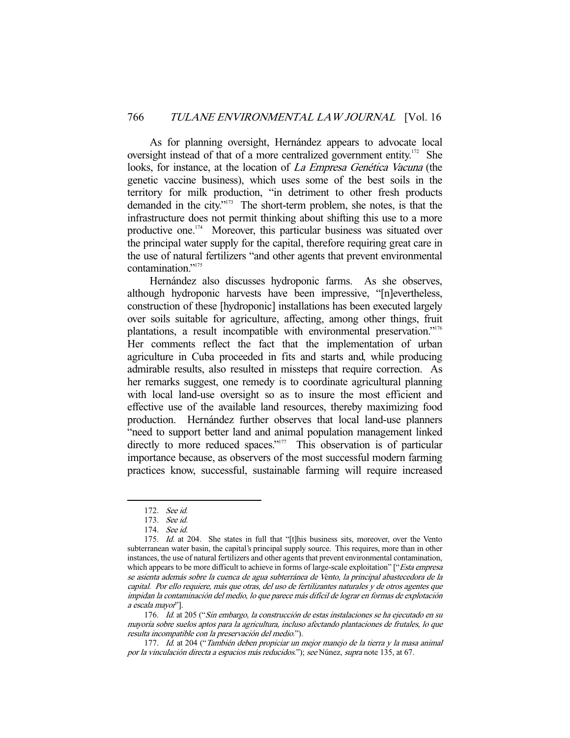As for planning oversight, Hernández appears to advocate local oversight instead of that of a more centralized government entity.<sup>172</sup> She looks, for instance, at the location of *La Empresa Genética Vacuna* (the genetic vaccine business), which uses some of the best soils in the territory for milk production, "in detriment to other fresh products demanded in the city."173 The short-term problem, she notes, is that the infrastructure does not permit thinking about shifting this use to a more productive one.<sup>174</sup> Moreover, this particular business was situated over the principal water supply for the capital, therefore requiring great care in the use of natural fertilizers "and other agents that prevent environmental contamination."175

 Hernández also discusses hydroponic farms. As she observes, although hydroponic harvests have been impressive, "[n]evertheless, construction of these [hydroponic] installations has been executed largely over soils suitable for agriculture, affecting, among other things, fruit plantations, a result incompatible with environmental preservation."176 Her comments reflect the fact that the implementation of urban agriculture in Cuba proceeded in fits and starts and, while producing admirable results, also resulted in missteps that require correction. As her remarks suggest, one remedy is to coordinate agricultural planning with local land-use oversight so as to insure the most efficient and effective use of the available land resources, thereby maximizing food production. Hernández further observes that local land-use planners "need to support better land and animal population management linked directly to more reduced spaces."<sup>177</sup> This observation is of particular importance because, as observers of the most successful modern farming practices know, successful, sustainable farming will require increased

-

 176. Id. at 205 ("Sin embargo, la construcción de estas instalaciones se ha ejecutado en su mayoría sobre suelos aptos para la agricultura, incluso afectando plantaciones de frutales, lo que resulta incompatible con la preservación del medio.").

 <sup>172.</sup> See id.

 <sup>173.</sup> See id.

 <sup>174.</sup> See id.

<sup>175.</sup> *Id.* at 204. She states in full that "[t]his business sits, moreover, over the Vento subterranean water basin, the capital's principal supply source. This requires, more than in other instances, the use of natural fertilizers and other agents that prevent environmental contamination, which appears to be more difficult to achieve in forms of large-scale exploitation" ["*Esta empresa* se asienta además sobre la cuenca de agua subterránea de Vento, la principal abastecedora de la capital. Por ello requiere, más que otras, del uso de fertilizantes naturales y de otros agentes que impidan la contaminación del medio, lo que parece más difícil de lograr en formas de explotación a escala mayor"].

 <sup>177.</sup> Id. at 204 ("También deben propiciar un mejor manejo de la tierra y la masa animal por la vinculación directa a espacios más reducidos."); see Núnez, supra note 135, at 67.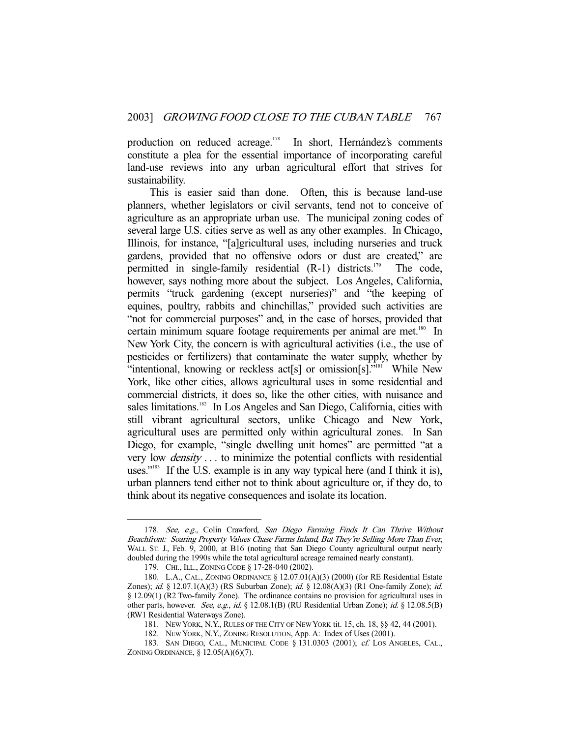production on reduced acreage.<sup>178</sup> In short, Hernández's comments constitute a plea for the essential importance of incorporating careful land-use reviews into any urban agricultural effort that strives for sustainability.

 This is easier said than done. Often, this is because land-use planners, whether legislators or civil servants, tend not to conceive of agriculture as an appropriate urban use. The municipal zoning codes of several large U.S. cities serve as well as any other examples. In Chicago, Illinois, for instance, "[a]gricultural uses, including nurseries and truck gardens, provided that no offensive odors or dust are created," are permitted in single-family residential  $(R-1)$  districts.<sup>179</sup> The code, however, says nothing more about the subject. Los Angeles, California, permits "truck gardening (except nurseries)" and "the keeping of equines, poultry, rabbits and chinchillas," provided such activities are "not for commercial purposes" and, in the case of horses, provided that certain minimum square footage requirements per animal are met.<sup>180</sup> In New York City, the concern is with agricultural activities (i.e., the use of pesticides or fertilizers) that contaminate the water supply, whether by "intentional, knowing or reckless act[s] or omission[s]."<sup>181</sup> While New York, like other cities, allows agricultural uses in some residential and commercial districts, it does so, like the other cities, with nuisance and sales limitations.<sup>182</sup> In Los Angeles and San Diego, California, cities with still vibrant agricultural sectors, unlike Chicago and New York, agricultural uses are permitted only within agricultural zones. In San Diego, for example, "single dwelling unit homes" are permitted "at a very low density . . . to minimize the potential conflicts with residential uses."<sup>183</sup> If the U.S. example is in any way typical here (and I think it is), urban planners tend either not to think about agriculture or, if they do, to think about its negative consequences and isolate its location.

<sup>178.</sup> See, e.g., Colin Crawford, San Diego Farming Finds It Can Thrive Without Beachfront: Soaring Property Values Chase Farms Inland, But They're Selling More Than Ever, WALL ST. J., Feb. 9, 2000, at B16 (noting that San Diego County agricultural output nearly doubled during the 1990s while the total agricultural acreage remained nearly constant).

 <sup>179.</sup> CHI., ILL., ZONING CODE § 17-28-040 (2002).

 <sup>180.</sup> L.A., CAL., ZONING ORDINANCE § 12.07.01(A)(3) (2000) (for RE Residential Estate Zones); id. § 12.07.1(A)(3) (RS Suburban Zone); id. § 12.08(A)(3) (R1 One-family Zone); id. § 12.09(1) (R2 Two-family Zone). The ordinance contains no provision for agricultural uses in other parts, however. See, e.g., id. § 12.08.1(B) (RU Residential Urban Zone); id. § 12.08.5(B) (RW1 Residential Waterways Zone).

 <sup>181.</sup> NEW YORK, N.Y., RULES OF THE CITY OF NEW YORK tit. 15, ch. 18, §§ 42, 44 (2001).

 <sup>182.</sup> NEW YORK, N.Y., ZONING RESOLUTION, App. A: Index of Uses (2001).

<sup>183.</sup> SAN DIEGO, CAL., MUNICIPAL CODE § 131.0303 (2001); cf. LOS ANGELES, CAL., ZONING ORDINANCE, § 12.05(A)(6)(7).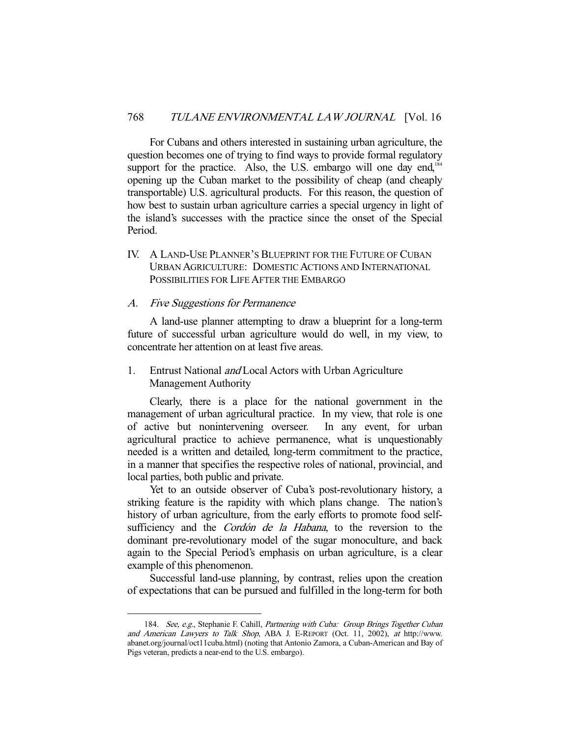For Cubans and others interested in sustaining urban agriculture, the question becomes one of trying to find ways to provide formal regulatory support for the practice. Also, the U.S. embargo will one day end,<sup>184</sup> opening up the Cuban market to the possibility of cheap (and cheaply transportable) U.S. agricultural products. For this reason, the question of how best to sustain urban agriculture carries a special urgency in light of the island's successes with the practice since the onset of the Special Period.

IV. A LAND-USE PLANNER'S BLUEPRINT FOR THE FUTURE OF CUBAN URBAN AGRICULTURE: DOMESTIC ACTIONS AND INTERNATIONAL POSSIBILITIES FOR LIFE AFTER THE EMBARGO

## A. Five Suggestions for Permanence

-

 A land-use planner attempting to draw a blueprint for a long-term future of successful urban agriculture would do well, in my view, to concentrate her attention on at least five areas.

# 1. Entrust National and Local Actors with Urban Agriculture Management Authority

 Clearly, there is a place for the national government in the management of urban agricultural practice. In my view, that role is one of active but nonintervening overseer. In any event, for urban agricultural practice to achieve permanence, what is unquestionably needed is a written and detailed, long-term commitment to the practice, in a manner that specifies the respective roles of national, provincial, and local parties, both public and private.

 Yet to an outside observer of Cuba's post-revolutionary history, a striking feature is the rapidity with which plans change. The nation's history of urban agriculture, from the early efforts to promote food selfsufficiency and the *Cordón de la Habana*, to the reversion to the dominant pre-revolutionary model of the sugar monoculture, and back again to the Special Period's emphasis on urban agriculture, is a clear example of this phenomenon.

 Successful land-use planning, by contrast, relies upon the creation of expectations that can be pursued and fulfilled in the long-term for both

<sup>184.</sup> See, e.g., Stephanie F. Cahill, Partnering with Cuba: Group Brings Together Cuban and American Lawyers to Talk Shop, ABA J. E-REPORT (Oct. 11, 2002), at http://www. abanet.org/journal/oct11cuba.html) (noting that Antonio Zamora, a Cuban-American and Bay of Pigs veteran, predicts a near-end to the U.S. embargo).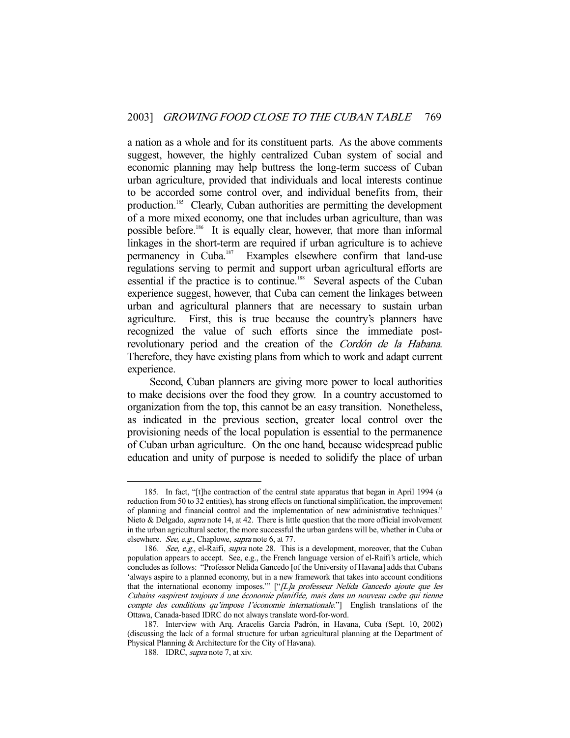a nation as a whole and for its constituent parts. As the above comments suggest, however, the highly centralized Cuban system of social and economic planning may help buttress the long-term success of Cuban urban agriculture, provided that individuals and local interests continue to be accorded some control over, and individual benefits from, their production.185 Clearly, Cuban authorities are permitting the development of a more mixed economy, one that includes urban agriculture, than was possible before.<sup>186</sup> It is equally clear, however, that more than informal linkages in the short-term are required if urban agriculture is to achieve permanency in Cuba.<sup>187</sup> Examples elsewhere confirm that land-use regulations serving to permit and support urban agricultural efforts are essential if the practice is to continue.<sup>188</sup> Several aspects of the Cuban experience suggest, however, that Cuba can cement the linkages between urban and agricultural planners that are necessary to sustain urban agriculture. First, this is true because the country's planners have recognized the value of such efforts since the immediate postrevolutionary period and the creation of the Cordón de la Habana. Therefore, they have existing plans from which to work and adapt current experience.

 Second, Cuban planners are giving more power to local authorities to make decisions over the food they grow. In a country accustomed to organization from the top, this cannot be an easy transition. Nonetheless, as indicated in the previous section, greater local control over the provisioning needs of the local population is essential to the permanence of Cuban urban agriculture. On the one hand, because widespread public education and unity of purpose is needed to solidify the place of urban

 <sup>185.</sup> In fact, "[t]he contraction of the central state apparatus that began in April 1994 (a reduction from 50 to 32 entities), has strong effects on functional simplification, the improvement of planning and financial control and the implementation of new administrative techniques." Nieto & Delgado, *supra* note 14, at 42. There is little question that the more official involvement in the urban agricultural sector, the more successful the urban gardens will be, whether in Cuba or elsewhere. See, e.g., Chaplowe, supra note 6, at 77.

<sup>186.</sup> See, e.g., el-Raifi, supra note 28. This is a development, moreover, that the Cuban population appears to accept. See, e.g., the French language version of el-Raifi's article, which concludes as follows: "Professor Nelida Gancedo [of the University of Havana] adds that Cubans 'always aspire to a planned economy, but in a new framework that takes into account conditions that the international economy imposes." ["[L]a professeur Nelida Gancedo ajoute que les Cubains «aspirent toujours á une économie planifiée, mais dans un nouveau cadre qui tienne compte des conditions qu'impose l'économie internationale."] English translations of the Ottawa, Canada-based IDRC do not always translate word-for-word.

 <sup>187.</sup> Interview with Arq. Aracelis García Padrón, in Havana, Cuba (Sept. 10, 2002) (discussing the lack of a formal structure for urban agricultural planning at the Department of Physical Planning & Architecture for the City of Havana).

<sup>188.</sup> IDRC, *supra* note 7, at xiv.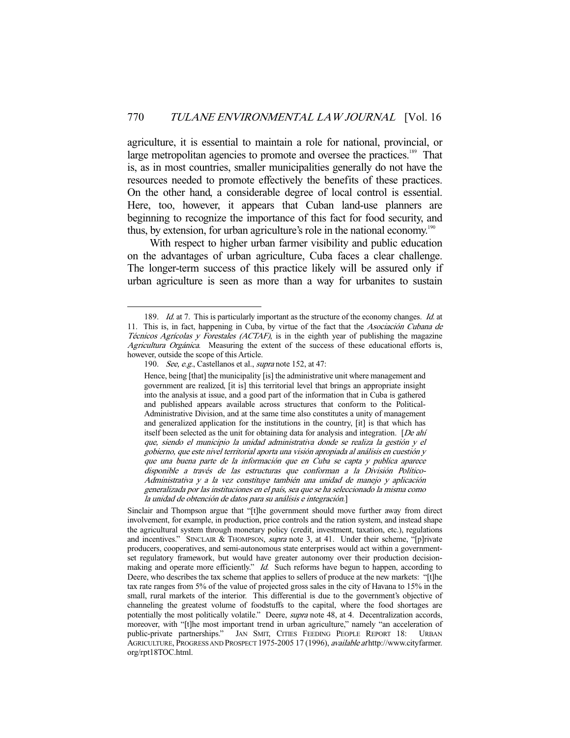agriculture, it is essential to maintain a role for national, provincial, or large metropolitan agencies to promote and oversee the practices.<sup>189</sup> That is, as in most countries, smaller municipalities generally do not have the resources needed to promote effectively the benefits of these practices. On the other hand, a considerable degree of local control is essential. Here, too, however, it appears that Cuban land-use planners are beginning to recognize the importance of this fact for food security, and thus, by extension, for urban agriculture's role in the national economy.<sup>190</sup>

 With respect to higher urban farmer visibility and public education on the advantages of urban agriculture, Cuba faces a clear challenge. The longer-term success of this practice likely will be assured only if urban agriculture is seen as more than a way for urbanites to sustain

<sup>189.</sup> *Id.* at 7. This is particularly important as the structure of the economy changes. *Id.* at 11. This is, in fact, happening in Cuba, by virtue of the fact that the Asociación Cubana de Técnicos Agrícolas y Forestales (ACTAF), is in the eighth year of publishing the magazine Agricultura Orgánica. Measuring the extent of the success of these educational efforts is, however, outside the scope of this Article.

<sup>190.</sup> See, e.g., Castellanos et al., supra note 152, at 47:

Hence, being [that] the municipality [is] the administrative unit where management and government are realized, [it is] this territorial level that brings an appropriate insight into the analysis at issue, and a good part of the information that in Cuba is gathered and published appears available across structures that conform to the Political-Administrative Division, and at the same time also constitutes a unity of management and generalized application for the institutions in the country, [it] is that which has itself been selected as the unit for obtaining data for analysis and integration. [De ahí que, siendo el municipio la unidad administrativa donde se realiza la gestión y el gobierno, que este nivel territorial aporta una visión apropiada al análisis en cuestión y que una buena parte de la información que en Cuba se capta y publica aparece disponible a través de las estructuras que conforman a la División Político-Administrativa y a la vez constituye también una unidad de manejo y aplicación generalizada por las instituciones en el país, sea que se ha seleccionado la misma como la unidad de obtención de datos para su análisis e integración.]

Sinclair and Thompson argue that "[t]he government should move further away from direct involvement, for example, in production, price controls and the ration system, and instead shape the agricultural system through monetary policy (credit, investment, taxation, etc.), regulations and incentives." SINCLAIR & THOMPSON, *supra* note 3, at 41. Under their scheme, "[p]rivate producers, cooperatives, and semi-autonomous state enterprises would act within a governmentset regulatory framework, but would have greater autonomy over their production decisionmaking and operate more efficiently." Id. Such reforms have begun to happen, according to Deere, who describes the tax scheme that applies to sellers of produce at the new markets: "[t]he tax rate ranges from 5% of the value of projected gross sales in the city of Havana to 15% in the small, rural markets of the interior. This differential is due to the government's objective of channeling the greatest volume of foodstuffs to the capital, where the food shortages are potentially the most politically volatile." Deere, supra note 48, at 4. Decentralization accords, moreover, with "[t]he most important trend in urban agriculture," namely "an acceleration of public-private partnerships." JAN SMIT, CITIES FEEDING PEOPLE REPORT 18: URBAN AGRICULTURE, PROGRESS AND PROSPECT 1975-2005 17 (1996), available at http://www.cityfarmer. org/rpt18TOC.html.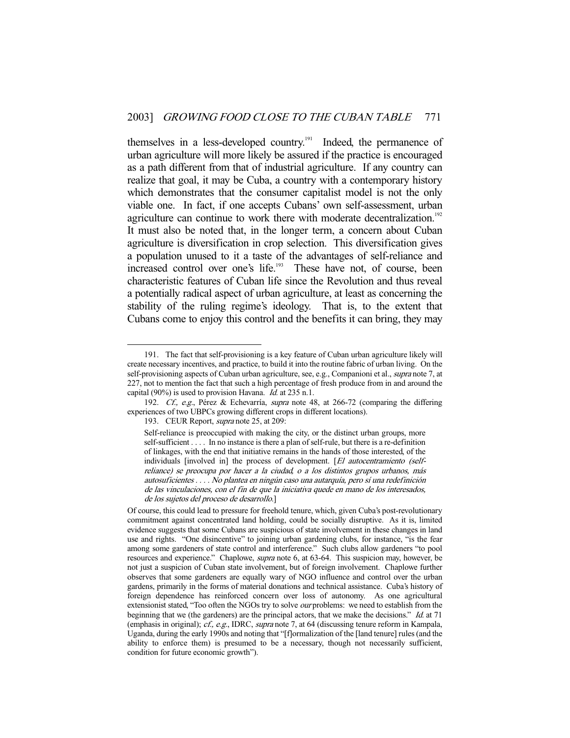themselves in a less-developed country.<sup>191</sup> Indeed, the permanence of urban agriculture will more likely be assured if the practice is encouraged as a path different from that of industrial agriculture. If any country can realize that goal, it may be Cuba, a country with a contemporary history which demonstrates that the consumer capitalist model is not the only viable one. In fact, if one accepts Cubans' own self-assessment, urban agriculture can continue to work there with moderate decentralization.<sup>192</sup> It must also be noted that, in the longer term, a concern about Cuban agriculture is diversification in crop selection. This diversification gives a population unused to it a taste of the advantages of self-reliance and increased control over one's life.<sup>193</sup> These have not, of course, been characteristic features of Cuban life since the Revolution and thus reveal a potentially radical aspect of urban agriculture, at least as concerning the stability of the ruling regime's ideology. That is, to the extent that Cubans come to enjoy this control and the benefits it can bring, they may

 <sup>191.</sup> The fact that self-provisioning is a key feature of Cuban urban agriculture likely will create necessary incentives, and practice, to build it into the routine fabric of urban living. On the self-provisioning aspects of Cuban urban agriculture, see, e.g., Companioni et al., *supra* note 7, at 227, not to mention the fact that such a high percentage of fresh produce from in and around the capital (90%) is used to provision Havana. Id. at 235 n.1.

 <sup>192.</sup> Cf., e.g., Pérez & Echevarría, supra note 48, at 266-72 (comparing the differing experiences of two UBPCs growing different crops in different locations).

<sup>193.</sup> CEUR Report, *supra* note 25, at 209:

Self-reliance is preoccupied with making the city, or the distinct urban groups, more self-sufficient . . . . In no instance is there a plan of self-rule, but there is a re-definition of linkages, with the end that initiative remains in the hands of those interested, of the individuals [involved in] the process of development. [El autocentramiento (selfreliance) se preocupa por hacer a la ciudad, o a los distintos grupos urbanos, más autosuficientes . . . . No plantea en ningún caso una autarquía, pero sí una redefinición de las vinculaciones, con el fin de que la iniciativa quede en mano de los interesados, de los sujetos del proceso de desarrollo.]

Of course, this could lead to pressure for freehold tenure, which, given Cuba's post-revolutionary commitment against concentrated land holding, could be socially disruptive. As it is, limited evidence suggests that some Cubans are suspicious of state involvement in these changes in land use and rights. "One disincentive" to joining urban gardening clubs, for instance, "is the fear among some gardeners of state control and interference." Such clubs allow gardeners "to pool resources and experience." Chaplowe, *supra* note 6, at 63-64. This suspicion may, however, be not just a suspicion of Cuban state involvement, but of foreign involvement. Chaplowe further observes that some gardeners are equally wary of NGO influence and control over the urban gardens, primarily in the forms of material donations and technical assistance. Cuba's history of foreign dependence has reinforced concern over loss of autonomy. As one agricultural extensionist stated, "Too often the NGOs try to solve our problems: we need to establish from the beginning that we (the gardeners) are the principal actors, that we make the decisions." *Id.* at 71 (emphasis in original); cf., e.g., IDRC, supra note 7, at 64 (discussing tenure reform in Kampala, Uganda, during the early 1990s and noting that "[f]ormalization of the [land tenure] rules (and the ability to enforce them) is presumed to be a necessary, though not necessarily sufficient, condition for future economic growth").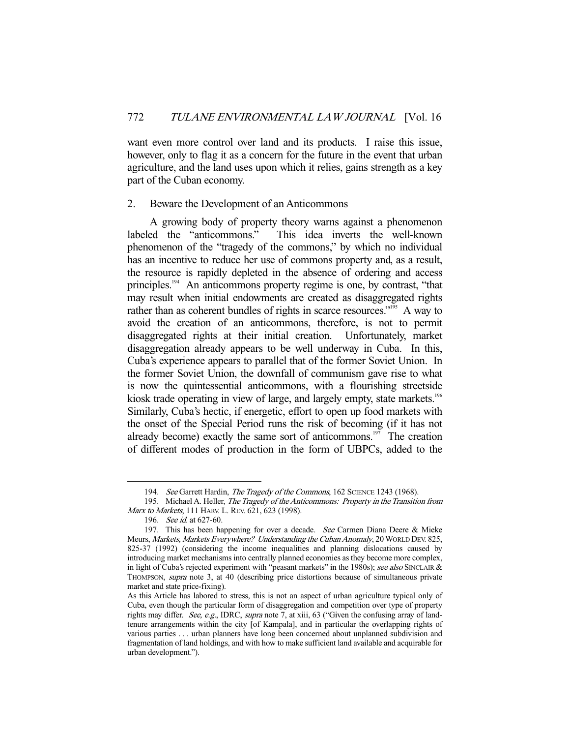want even more control over land and its products. I raise this issue, however, only to flag it as a concern for the future in the event that urban agriculture, and the land uses upon which it relies, gains strength as a key part of the Cuban economy.

#### 2. Beware the Development of an Anticommons

 A growing body of property theory warns against a phenomenon labeled the "anticommons." This idea inverts the well-known phenomenon of the "tragedy of the commons," by which no individual has an incentive to reduce her use of commons property and, as a result, the resource is rapidly depleted in the absence of ordering and access principles.<sup>194</sup> An anticommons property regime is one, by contrast, "that may result when initial endowments are created as disaggregated rights rather than as coherent bundles of rights in scarce resources."<sup>195</sup> A way to avoid the creation of an anticommons, therefore, is not to permit disaggregated rights at their initial creation. Unfortunately, market disaggregation already appears to be well underway in Cuba. In this, Cuba's experience appears to parallel that of the former Soviet Union. In the former Soviet Union, the downfall of communism gave rise to what is now the quintessential anticommons, with a flourishing streetside kiosk trade operating in view of large, and largely empty, state markets.<sup>196</sup> Similarly, Cuba's hectic, if energetic, effort to open up food markets with the onset of the Special Period runs the risk of becoming (if it has not already become) exactly the same sort of anticommons.<sup>197</sup> The creation of different modes of production in the form of UBPCs, added to the

<sup>194.</sup> See Garrett Hardin, The Tragedy of the Commons, 162 SCIENCE 1243 (1968).

<sup>195.</sup> Michael A. Heller, The Tragedy of the Anticommons: Property in the Transition from Marx to Markets, 111 HARV. L. REV. 621, 623 (1998).

 <sup>196.</sup> See id. at 627-60.

<sup>197.</sup> This has been happening for over a decade. See Carmen Diana Deere & Mieke Meurs, Markets, Markets Everywhere? Understanding the Cuban Anomaly, 20 WORLD DEV. 825, 825-37 (1992) (considering the income inequalities and planning dislocations caused by introducing market mechanisms into centrally planned economies as they become more complex, in light of Cuba's rejected experiment with "peasant markets" in the 1980s); see also SINCLAIR & THOMPSON, *supra* note 3, at 40 (describing price distortions because of simultaneous private market and state price-fixing).

As this Article has labored to stress, this is not an aspect of urban agriculture typical only of Cuba, even though the particular form of disaggregation and competition over type of property rights may differ. See, e.g., IDRC, supra note 7, at xiii, 63 ("Given the confusing array of landtenure arrangements within the city [of Kampala], and in particular the overlapping rights of various parties . . . urban planners have long been concerned about unplanned subdivision and fragmentation of land holdings, and with how to make sufficient land available and acquirable for urban development.").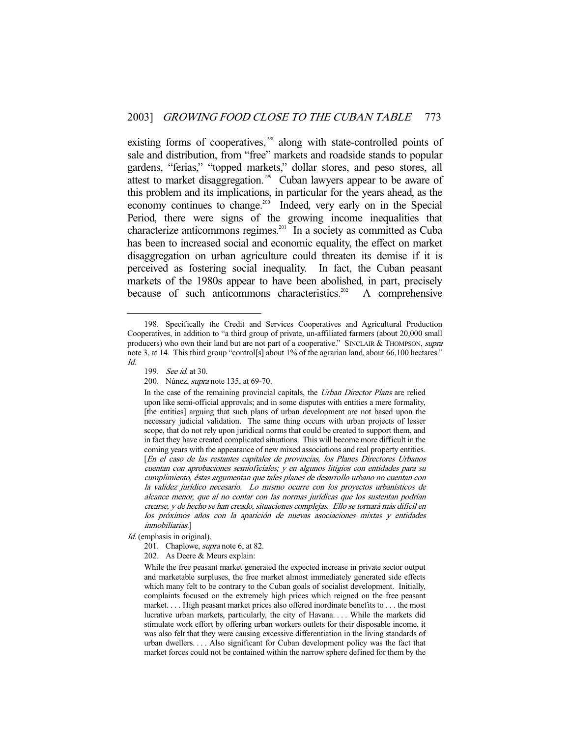existing forms of cooperatives,<sup>198</sup> along with state-controlled points of sale and distribution, from "free" markets and roadside stands to popular gardens, "ferias," "topped markets," dollar stores, and peso stores, all attest to market disaggregation.<sup>199</sup> Cuban lawyers appear to be aware of this problem and its implications, in particular for the years ahead, as the economy continues to change.<sup>200</sup> Indeed, very early on in the Special Period, there were signs of the growing income inequalities that characterize anticommons regimes.<sup>201</sup> In a society as committed as Cuba has been to increased social and economic equality, the effect on market disaggregation on urban agriculture could threaten its demise if it is perceived as fostering social inequality. In fact, the Cuban peasant markets of the 1980s appear to have been abolished, in part, precisely because of such anticommons characteristics.<sup>202</sup> A comprehensive

 <sup>198.</sup> Specifically the Credit and Services Cooperatives and Agricultural Production Cooperatives, in addition to "a third group of private, un-affiliated farmers (about 20,000 small producers) who own their land but are not part of a cooperative." SINCLAIR & THOMPSON, supra note 3, at 14. This third group "control[s] about 1% of the agrarian land, about 66,100 hectares." Id.

<sup>199.</sup> *See id.* at 30.

 <sup>200.</sup> Núnez, supra note 135, at 69-70.

In the case of the remaining provincial capitals, the Urban Director Plans are relied upon like semi-official approvals; and in some disputes with entities a mere formality, [the entities] arguing that such plans of urban development are not based upon the necessary judicial validation. The same thing occurs with urban projects of lesser scope, that do not rely upon juridical norms that could be created to support them, and in fact they have created complicated situations. This will become more difficult in the coming years with the appearance of new mixed associations and real property entities. [En el caso de las restantes capitales de provincias, los Planes Directores Urbanos cuentan con aprobaciones semioficiales; y en algunos litigios con entidades para su cumplimiento, éstas argumentan que tales planes de desarrollo urbano no cuentan con la validez jurídico necesario. Lo mismo ocurre con los proyectos urbanísticos de alcance menor, que al no contar con las normas jurídicas que los sustentan podrían crearse, y de hecho se han creado, situaciones complejas. Ello se tornará más difícil en los próximos años con la aparición de nuevas asociaciones mixtas y entidades inmobiliarias.]

Id. (emphasis in original).

<sup>201.</sup> Chaplowe, *supra* note 6, at 82.

 <sup>202.</sup> As Deere & Meurs explain:

While the free peasant market generated the expected increase in private sector output and marketable surpluses, the free market almost immediately generated side effects which many felt to be contrary to the Cuban goals of socialist development. Initially, complaints focused on the extremely high prices which reigned on the free peasant market. . . . High peasant market prices also offered inordinate benefits to . . . the most lucrative urban markets, particularly, the city of Havana. . . . While the markets did stimulate work effort by offering urban workers outlets for their disposable income, it was also felt that they were causing excessive differentiation in the living standards of urban dwellers. . . . Also significant for Cuban development policy was the fact that market forces could not be contained within the narrow sphere defined for them by the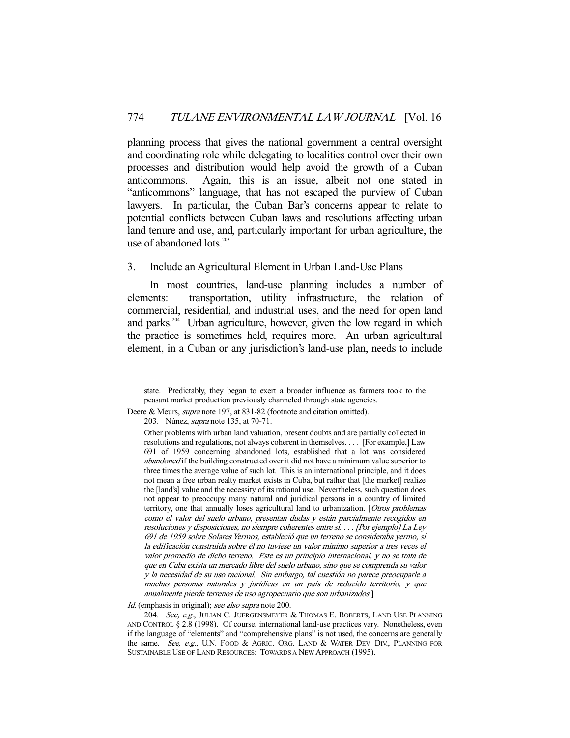planning process that gives the national government a central oversight and coordinating role while delegating to localities control over their own processes and distribution would help avoid the growth of a Cuban anticommons. Again, this is an issue, albeit not one stated in "anticommons" language, that has not escaped the purview of Cuban lawyers. In particular, the Cuban Bar's concerns appear to relate to potential conflicts between Cuban laws and resolutions affecting urban land tenure and use, and, particularly important for urban agriculture, the use of abandoned  $\text{lost}^{203}$ 

## 3. Include an Agricultural Element in Urban Land-Use Plans

 In most countries, land-use planning includes a number of elements: transportation, utility infrastructure, the relation of commercial, residential, and industrial uses, and the need for open land and parks.<sup>204</sup> Urban agriculture, however, given the low regard in which the practice is sometimes held, requires more. An urban agricultural element, in a Cuban or any jurisdiction's land-use plan, needs to include

Id. (emphasis in original); see also supra note 200.

state. Predictably, they began to exert a broader influence as farmers took to the peasant market production previously channeled through state agencies.

Deere & Meurs, *supra* note 197, at 831-82 (footnote and citation omitted).

 <sup>203.</sup> Núnez, supra note 135, at 70-71.

Other problems with urban land valuation, present doubts and are partially collected in resolutions and regulations, not always coherent in themselves. . . . [For example,] Law 691 of 1959 concerning abandoned lots, established that a lot was considered abandoned if the building constructed over it did not have a minimum value superior to three times the average value of such lot. This is an international principle, and it does not mean a free urban realty market exists in Cuba, but rather that [the market] realize the [land's] value and the necessity of its rational use. Nevertheless, such question does not appear to preoccupy many natural and juridical persons in a country of limited territory, one that annually loses agricultural land to urbanization. [Otros problemas como el valor del suelo urbano, presentan dudas y están parcialmente recogidos en resoluciones y disposiciones, no siempre coherentes entre sí. . . . [Por ejemplo] La Ley 691 de 1959 sobre Solares Yermos, estableció que un terreno se consideraba yermo, si la edificación construída sobre él no tuviese un valor mínimo superior a tres veces el valor promedio de dicho terreno. Este es un principio internacional, y no se trata de que en Cuba exista un mercado libre del suelo urbano, sino que se comprenda su valor y la necesidad de su uso racional. Sin embargo, tal cuestión no parece preocuparle a muchas personas naturales y jurídicas en un país de reducido territorio, y que anualmente pierde terrenos de uso agropecuario que son urbanizados.]

<sup>204.</sup> See, e.g., JULIAN C. JUERGENSMEYER & THOMAS E. ROBERTS, LAND USE PLANNING AND CONTROL § 2.8 (1998). Of course, international land-use practices vary. Nonetheless, even if the language of "elements" and "comprehensive plans" is not used, the concerns are generally the same. See, e.g., U.N. FOOD & AGRIC. ORG. LAND & WATER DEV. DIV., PLANNING FOR SUSTAINABLE USE OF LAND RESOURCES: TOWARDS A NEW APPROACH (1995).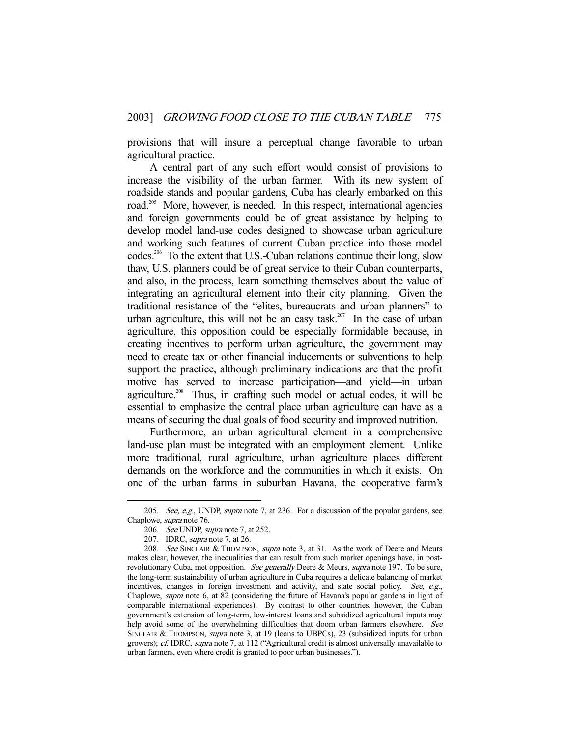provisions that will insure a perceptual change favorable to urban agricultural practice.

 A central part of any such effort would consist of provisions to increase the visibility of the urban farmer. With its new system of roadside stands and popular gardens, Cuba has clearly embarked on this road.<sup>205</sup> More, however, is needed. In this respect, international agencies and foreign governments could be of great assistance by helping to develop model land-use codes designed to showcase urban agriculture and working such features of current Cuban practice into those model codes.206 To the extent that U.S.-Cuban relations continue their long, slow thaw, U.S. planners could be of great service to their Cuban counterparts, and also, in the process, learn something themselves about the value of integrating an agricultural element into their city planning. Given the traditional resistance of the "elites, bureaucrats and urban planners" to urban agriculture, this will not be an easy task.<sup>207</sup> In the case of urban agriculture, this opposition could be especially formidable because, in creating incentives to perform urban agriculture, the government may need to create tax or other financial inducements or subventions to help support the practice, although preliminary indications are that the profit motive has served to increase participation—and yield—in urban agriculture.<sup>208</sup> Thus, in crafting such model or actual codes, it will be essential to emphasize the central place urban agriculture can have as a means of securing the dual goals of food security and improved nutrition.

 Furthermore, an urban agricultural element in a comprehensive land-use plan must be integrated with an employment element. Unlike more traditional, rural agriculture, urban agriculture places different demands on the workforce and the communities in which it exists. On one of the urban farms in suburban Havana, the cooperative farm's

<sup>205.</sup> See, e.g., UNDP, supra note 7, at 236. For a discussion of the popular gardens, see Chaplowe, supra note 76.

<sup>206.</sup> See UNDP, supra note 7, at 252.

 <sup>207.</sup> IDRC, supra note 7, at 26.

<sup>208.</sup> See SINCLAIR & THOMPSON, *supra* note 3, at 31. As the work of Deere and Meurs makes clear, however, the inequalities that can result from such market openings have, in postrevolutionary Cuba, met opposition. See generally Deere & Meurs, supra note 197. To be sure, the long-term sustainability of urban agriculture in Cuba requires a delicate balancing of market incentives, changes in foreign investment and activity, and state social policy. See, e.g., Chaplowe, supra note 6, at 82 (considering the future of Havana's popular gardens in light of comparable international experiences). By contrast to other countries, however, the Cuban government's extension of long-term, low-interest loans and subsidized agricultural inputs may help avoid some of the overwhelming difficulties that doom urban farmers elsewhere. See SINCLAIR & THOMPSON, *supra* note 3, at 19 (loans to UBPCs), 23 (subsidized inputs for urban growers); cf. IDRC, supra note 7, at 112 ("Agricultural credit is almost universally unavailable to urban farmers, even where credit is granted to poor urban businesses.").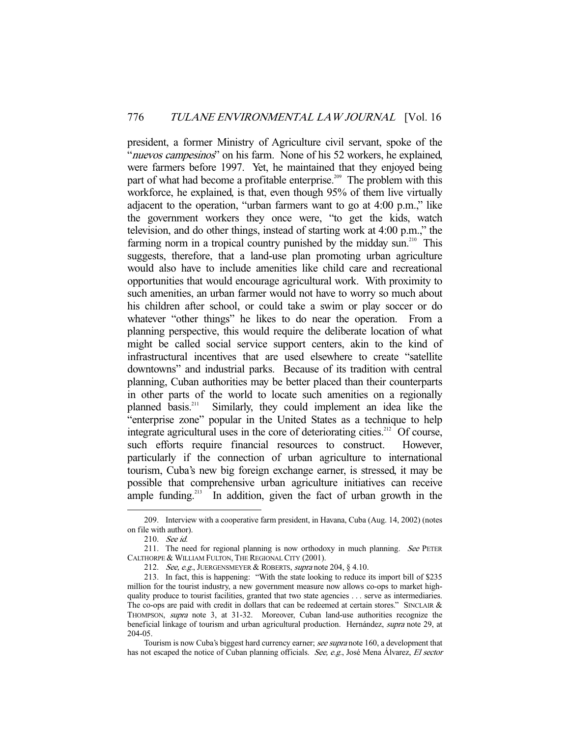president, a former Ministry of Agriculture civil servant, spoke of the "nuevos campesinos" on his farm. None of his 52 workers, he explained, were farmers before 1997. Yet, he maintained that they enjoyed being part of what had become a profitable enterprise.<sup>209</sup> The problem with this workforce, he explained, is that, even though 95% of them live virtually adjacent to the operation, "urban farmers want to go at 4:00 p.m.," like the government workers they once were, "to get the kids, watch television, and do other things, instead of starting work at 4:00 p.m.," the farming norm in a tropical country punished by the midday sun.<sup>210</sup> This suggests, therefore, that a land-use plan promoting urban agriculture would also have to include amenities like child care and recreational opportunities that would encourage agricultural work. With proximity to such amenities, an urban farmer would not have to worry so much about his children after school, or could take a swim or play soccer or do whatever "other things" he likes to do near the operation. From a planning perspective, this would require the deliberate location of what might be called social service support centers, akin to the kind of infrastructural incentives that are used elsewhere to create "satellite downtowns" and industrial parks. Because of its tradition with central planning, Cuban authorities may be better placed than their counterparts in other parts of the world to locate such amenities on a regionally planned basis.<sup>211</sup> Similarly, they could implement an idea like the Similarly, they could implement an idea like the "enterprise zone" popular in the United States as a technique to help integrate agricultural uses in the core of deteriorating cities.<sup>212</sup> Of course, such efforts require financial resources to construct. However, particularly if the connection of urban agriculture to international tourism, Cuba's new big foreign exchange earner, is stressed, it may be possible that comprehensive urban agriculture initiatives can receive ample funding.<sup>213</sup> In addition, given the fact of urban growth in the

 <sup>209.</sup> Interview with a cooperative farm president, in Havana, Cuba (Aug. 14, 2002) (notes on file with author).

 <sup>210.</sup> See id.

<sup>211.</sup> The need for regional planning is now orthodoxy in much planning. See PETER CALTHORPE & WILLIAM FULTON, THE REGIONAL CITY (2001).

<sup>212.</sup> See, e.g., JUERGENSMEYER & ROBERTS, supra note 204, § 4.10.

 <sup>213.</sup> In fact, this is happening: "With the state looking to reduce its import bill of \$235 million for the tourist industry, a new government measure now allows co-ops to market highquality produce to tourist facilities, granted that two state agencies . . . serve as intermediaries. The co-ops are paid with credit in dollars that can be redeemed at certain stores." SINCLAIR & THOMPSON, supra note 3, at 31-32. Moreover, Cuban land-use authorities recognize the beneficial linkage of tourism and urban agricultural production. Hernández, supra note 29, at 204-05.

Tourism is now Cuba's biggest hard currency earner; see supra note 160, a development that has not escaped the notice of Cuban planning officials. See, e.g., José Mena Álvarez, El sector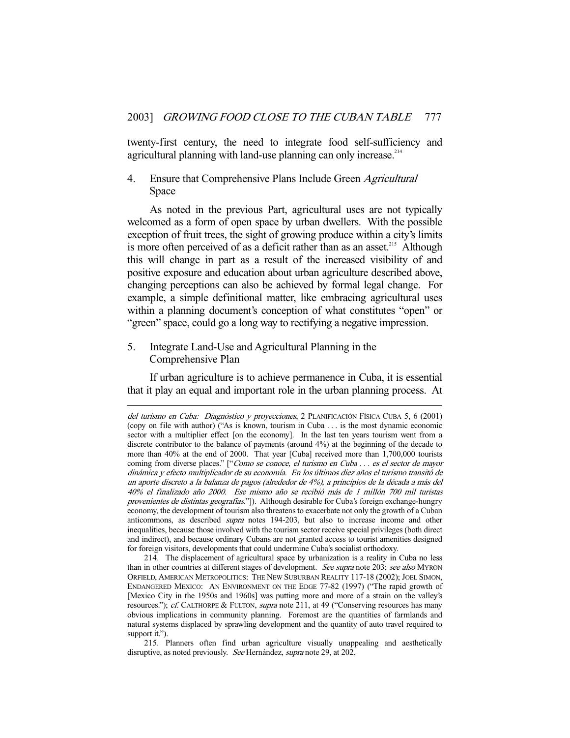twenty-first century, the need to integrate food self-sufficiency and agricultural planning with land-use planning can only increase.<sup>214</sup>

# 4. Ensure that Comprehensive Plans Include Green Agricultural Space

 As noted in the previous Part, agricultural uses are not typically welcomed as a form of open space by urban dwellers. With the possible exception of fruit trees, the sight of growing produce within a city's limits is more often perceived of as a deficit rather than as an asset.<sup>215</sup> Although this will change in part as a result of the increased visibility of and positive exposure and education about urban agriculture described above, changing perceptions can also be achieved by formal legal change. For example, a simple definitional matter, like embracing agricultural uses within a planning document's conception of what constitutes "open" or "green" space, could go a long way to rectifying a negative impression.

5. Integrate Land-Use and Agricultural Planning in the Comprehensive Plan

-

 If urban agriculture is to achieve permanence in Cuba, it is essential that it play an equal and important role in the urban planning process. At

del turismo en Cuba: Diagnóstico y proyecciones, 2 PLANIFICACIÓN FÍSICA CUBA 5, 6 (2001) (copy on file with author) ("As is known, tourism in Cuba . . . is the most dynamic economic sector with a multiplier effect [on the economy]. In the last ten years tourism went from a discrete contributor to the balance of payments (around 4%) at the beginning of the decade to more than 40% at the end of 2000. That year [Cuba] received more than 1,700,000 tourists coming from diverse places." ["Como se conoce, el turismo en Cuba . . . es el sector de mayor dinámica y efecto multiplicador de su economía. En los últimos diez años el turismo transitó de un aporte discreto a la balanza de pagos (alrededor de 4%), a principios de la década a más del 40% el finalizado año 2000. Ese mismo año se recibió más de 1 millón 700 mil turistas provenientes de distintas geografías."]). Although desirable for Cuba's foreign exchange-hungry economy, the development of tourism also threatens to exacerbate not only the growth of a Cuban anticommons, as described supra notes 194-203, but also to increase income and other inequalities, because those involved with the tourism sector receive special privileges (both direct and indirect), and because ordinary Cubans are not granted access to tourist amenities designed for foreign visitors, developments that could undermine Cuba's socialist orthodoxy.

 <sup>214.</sup> The displacement of agricultural space by urbanization is a reality in Cuba no less than in other countries at different stages of development. See supra note 203; see also MYRON ORFIELD, AMERICAN METROPOLITICS: THE NEW SUBURBAN REALITY 117-18 (2002); JOEL SIMON, ENDANGERED MEXICO: AN ENVIRONMENT ON THE EDGE 77-82 (1997) ("The rapid growth of [Mexico City in the 1950s and 1960s] was putting more and more of a strain on the valley's resources."); cf. CALTHORPE & FULTON, supra note 211, at 49 ("Conserving resources has many obvious implications in community planning. Foremost are the quantities of farmlands and natural systems displaced by sprawling development and the quantity of auto travel required to support it.").

 <sup>215.</sup> Planners often find urban agriculture visually unappealing and aesthetically disruptive, as noted previously. See Hernández, supra note 29, at 202.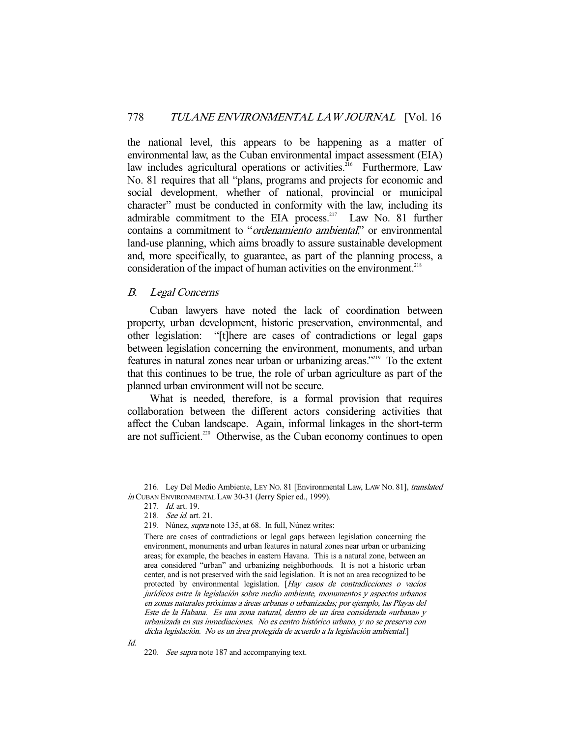the national level, this appears to be happening as a matter of environmental law, as the Cuban environmental impact assessment (EIA) law includes agricultural operations or activities.<sup>216</sup> Furthermore, Law No. 81 requires that all "plans, programs and projects for economic and social development, whether of national, provincial or municipal character" must be conducted in conformity with the law, including its admirable commitment to the EIA process.<sup>217</sup> Law No. 81 further contains a commitment to "ordenamiento ambiental," or environmental land-use planning, which aims broadly to assure sustainable development and, more specifically, to guarantee, as part of the planning process, a consideration of the impact of human activities on the environment.<sup>218</sup>

#### B. Legal Concerns

 Cuban lawyers have noted the lack of coordination between property, urban development, historic preservation, environmental, and other legislation: "[t]here are cases of contradictions or legal gaps between legislation concerning the environment, monuments, and urban features in natural zones near urban or urbanizing areas."219 To the extent that this continues to be true, the role of urban agriculture as part of the planned urban environment will not be secure.

 What is needed, therefore, is a formal provision that requires collaboration between the different actors considering activities that affect the Cuban landscape. Again, informal linkages in the short-term are not sufficient.<sup>220</sup> Otherwise, as the Cuban economy continues to open

<sup>216.</sup> Ley Del Medio Ambiente, LEY No. 81 [Environmental Law, LAW No. 81], translated in CUBAN ENVIRONMENTAL LAW 30-31 (Jerry Spier ed., 1999).

<sup>217.</sup> *Id.* art. 19.

 <sup>218.</sup> See id. art. 21.

 <sup>219.</sup> Núnez, supra note 135, at 68. In full, Núnez writes:

There are cases of contradictions or legal gaps between legislation concerning the environment, monuments and urban features in natural zones near urban or urbanizing areas; for example, the beaches in eastern Havana. This is a natural zone, between an area considered "urban" and urbanizing neighborhoods. It is not a historic urban center, and is not preserved with the said legislation. It is not an area recognized to be protected by environmental legislation. [Hay casos de contradicciones o vacíos jurídicos entre la legislación sobre medio ambiente, monumentos y aspectos urbanos en zonas naturales próximas a áreas urbanas o urbanizadas; por ejemplo, las Playas del Este de la Habana. Es una zona natural, dentro de un área considerada «urbana» y urbanizada en sus inmediaciones. No es centro histórico urbano, y no se preserva con dicha legislación. No es un área protegida de acuerdo a la legislación ambiental.]

 <sup>220.</sup> See supra note 187 and accompanying text.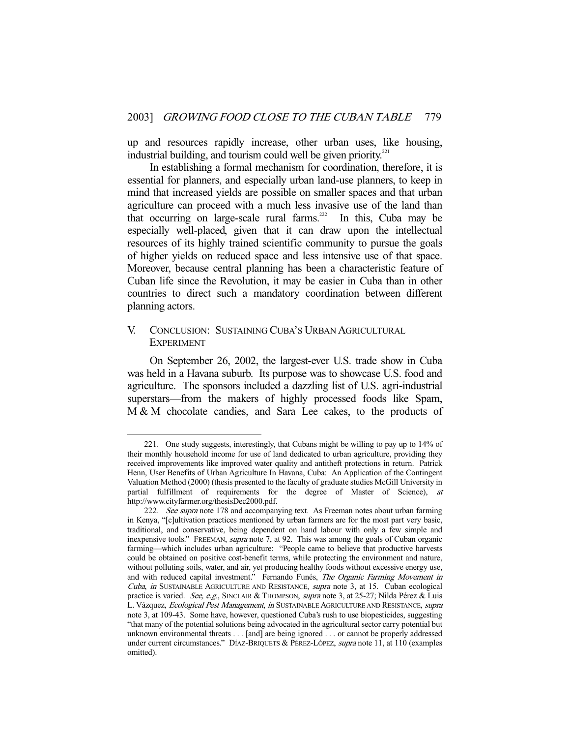up and resources rapidly increase, other urban uses, like housing, industrial building, and tourism could well be given priority.<sup>221</sup>

 In establishing a formal mechanism for coordination, therefore, it is essential for planners, and especially urban land-use planners, to keep in mind that increased yields are possible on smaller spaces and that urban agriculture can proceed with a much less invasive use of the land than that occurring on large-scale rural farms.<sup>222</sup> In this, Cuba may be especially well-placed, given that it can draw upon the intellectual resources of its highly trained scientific community to pursue the goals of higher yields on reduced space and less intensive use of that space. Moreover, because central planning has been a characteristic feature of Cuban life since the Revolution, it may be easier in Cuba than in other countries to direct such a mandatory coordination between different planning actors.

# V. CONCLUSION: SUSTAINING CUBA'S URBAN AGRICULTURAL **EXPERIMENT**

-

 On September 26, 2002, the largest-ever U.S. trade show in Cuba was held in a Havana suburb. Its purpose was to showcase U.S. food and agriculture. The sponsors included a dazzling list of U.S. agri-industrial superstars—from the makers of highly processed foods like Spam, M & M chocolate candies, and Sara Lee cakes, to the products of

 <sup>221.</sup> One study suggests, interestingly, that Cubans might be willing to pay up to 14% of their monthly household income for use of land dedicated to urban agriculture, providing they received improvements like improved water quality and antitheft protections in return. Patrick Henn, User Benefits of Urban Agriculture In Havana, Cuba: An Application of the Contingent Valuation Method (2000) (thesis presented to the faculty of graduate studies McGill University in partial fulfillment of requirements for the degree of Master of Science), at http://www.cityfarmer.org/thesisDec2000.pdf.

<sup>222.</sup> See supra note 178 and accompanying text. As Freeman notes about urban farming in Kenya, "[c]ultivation practices mentioned by urban farmers are for the most part very basic, traditional, and conservative, being dependent on hand labour with only a few simple and inexpensive tools." FREEMAN, supra note 7, at 92. This was among the goals of Cuban organic farming—which includes urban agriculture: "People came to believe that productive harvests could be obtained on positive cost-benefit terms, while protecting the environment and nature, without polluting soils, water, and air, yet producing healthy foods without excessive energy use, and with reduced capital investment." Fernando Funés, The Organic Farming Movement in Cuba, in SUSTAINABLE AGRICULTURE AND RESISTANCE, supra note 3, at 15. Cuban ecological practice is varied. See, e.g., SINCLAIR & THOMPSON, supra note 3, at 25-27; Nilda Pérez & Luis L. Vázquez, Ecological Pest Management, in SUSTAINABLE AGRICULTURE AND RESISTANCE, supra note 3, at 109-43. Some have, however, questioned Cuba's rush to use biopesticides, suggesting "that many of the potential solutions being advocated in the agricultural sector carry potential but unknown environmental threats . . . [and] are being ignored . . . or cannot be properly addressed under current circumstances." DÍAZ-BRIQUETS & PÉREZ-LÓPEZ, supra note 11, at 110 (examples omitted).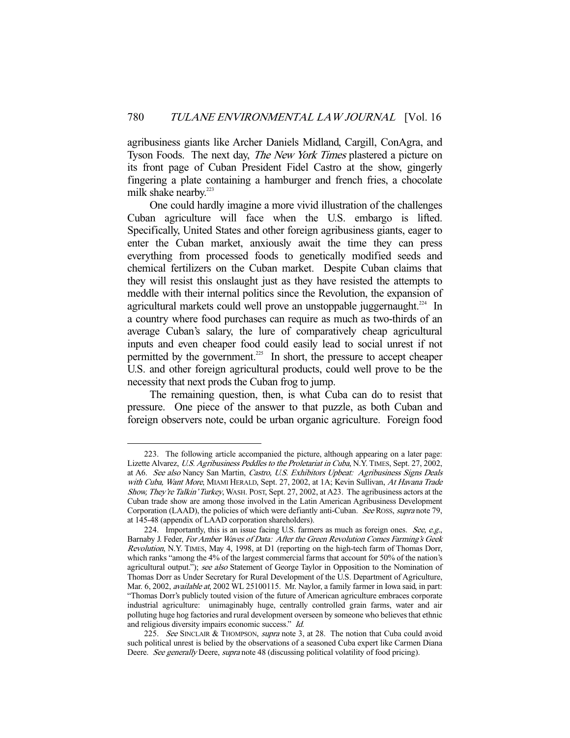agribusiness giants like Archer Daniels Midland, Cargill, ConAgra, and Tyson Foods. The next day, *The New York Times* plastered a picture on its front page of Cuban President Fidel Castro at the show, gingerly fingering a plate containing a hamburger and french fries, a chocolate milk shake nearby.<sup>223</sup>

 One could hardly imagine a more vivid illustration of the challenges Cuban agriculture will face when the U.S. embargo is lifted. Specifically, United States and other foreign agribusiness giants, eager to enter the Cuban market, anxiously await the time they can press everything from processed foods to genetically modified seeds and chemical fertilizers on the Cuban market. Despite Cuban claims that they will resist this onslaught just as they have resisted the attempts to meddle with their internal politics since the Revolution, the expansion of agricultural markets could well prove an unstoppable juggernaught.<sup>224</sup> In a country where food purchases can require as much as two-thirds of an average Cuban's salary, the lure of comparatively cheap agricultural inputs and even cheaper food could easily lead to social unrest if not permitted by the government.<sup>225</sup> In short, the pressure to accept cheaper U.S. and other foreign agricultural products, could well prove to be the necessity that next prods the Cuban frog to jump.

 The remaining question, then, is what Cuba can do to resist that pressure. One piece of the answer to that puzzle, as both Cuban and foreign observers note, could be urban organic agriculture. Foreign food

 <sup>223.</sup> The following article accompanied the picture, although appearing on a later page: Lizette Alvarez, U.S. Agribusiness Peddles to the Proletariat in Cuba, N.Y. TIMES, Sept. 27, 2002, at A6. See also Nancy San Martin, Castro, U.S. Exhibitors Upbeat: Agribusiness Signs Deals with Cuba, Want More, MIAMI HERALD, Sept. 27, 2002, at 1A; Kevin Sullivan, At Havana Trade Show, They're Talkin' Turkey, WASH. POST, Sept. 27, 2002, at A23. The agribusiness actors at the Cuban trade show are among those involved in the Latin American Agribusiness Development Corporation (LAAD), the policies of which were defiantly anti-Cuban. See Ross, supra note 79, at 145-48 (appendix of LAAD corporation shareholders).

<sup>224.</sup> Importantly, this is an issue facing U.S. farmers as much as foreign ones. See, e.g., Barnaby J. Feder, For Amber Waves of Data: After the Green Revolution Comes Farming's Geek Revolution, N.Y. TIMES, May 4, 1998, at D1 (reporting on the high-tech farm of Thomas Dorr, which ranks "among the 4% of the largest commercial farms that account for 50% of the nation's agricultural output."); see also Statement of George Taylor in Opposition to the Nomination of Thomas Dorr as Under Secretary for Rural Development of the U.S. Department of Agriculture, Mar. 6, 2002, available at, 2002 WL 25100115. Mr. Naylor, a family farmer in Iowa said, in part: "Thomas Dorr's publicly touted vision of the future of American agriculture embraces corporate industrial agriculture: unimaginably huge, centrally controlled grain farms, water and air polluting huge hog factories and rural development overseen by someone who believes that ethnic and religious diversity impairs economic success." Id.

<sup>225.</sup> See SINCLAIR & THOMPSON, supra note 3, at 28. The notion that Cuba could avoid such political unrest is belied by the observations of a seasoned Cuba expert like Carmen Diana Deere. See generally Deere, supra note 48 (discussing political volatility of food pricing).